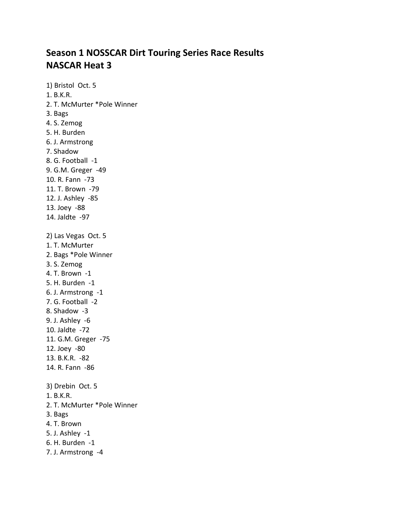# **Season 1 NOSSCAR Dirt Touring Series Race Results NASCAR Heat 3**

1) Bristol Oct. 5 1. B.K.R. 2. T. McMurter \*Pole Winner 3. Bags 4. S. Zemog 5. H. Burden 6. J. Armstrong 7. Shadow 8. G. Football -1 9. G.M. Greger -49 10. R. Fann -73 11. T. Brown -79 12. J. Ashley -85 13. Joey -88 14. Jaldte -97 2) Las Vegas Oct. 5 1. T. McMurter 2. Bags \*Pole Winner 3. S. Zemog 4. T. Brown -1 5. H. Burden -1 6. J. Armstrong -1 7. G. Football -2 8. Shadow -3 9. J. Ashley -6 10. Jaldte -72 11. G.M. Greger -75 12. Joey -80 13. B.K.R. -82 14. R. Fann -86 3) Drebin Oct. 5 1. B.K.R. 2. T. McMurter \*Pole Winner 3. Bags 4. T. Brown 5. J. Ashley -1 6. H. Burden -1 7. J. Armstrong -4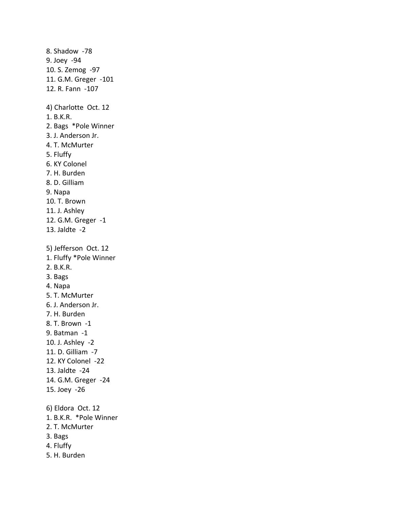8. Shadow -78 9. Joey -94 10. S. Zemog -97 11. G.M. Greger -101 12. R. Fann -107 4) Charlotte Oct. 12 1. B.K.R. 2. Bags \*Pole Winner 3. J. Anderson Jr. 4. T. McMurter 5. Fluffy 6. KY Colonel 7. H. Burden 8. D. Gilliam 9. Napa 10. T. Brown 11. J. Ashley 12. G.M. Greger -1 13. Jaldte -2 5) Jefferson Oct. 12 1. Fluffy \*Pole Winner 2. B.K.R. 3. Bags 4. Napa 5. T. McMurter 6. J. Anderson Jr. 7. H. Burden 8. T. Brown -1 9. Batman -1 10. J. Ashley -2 11. D. Gilliam -7 12. KY Colonel -22 13. Jaldte -24 14. G.M. Greger -24 15. Joey -26 6) Eldora Oct. 12 1. B.K.R. \*Pole Winner 2. T. McMurter 3. Bags 4. Fluffy 5. H. Burden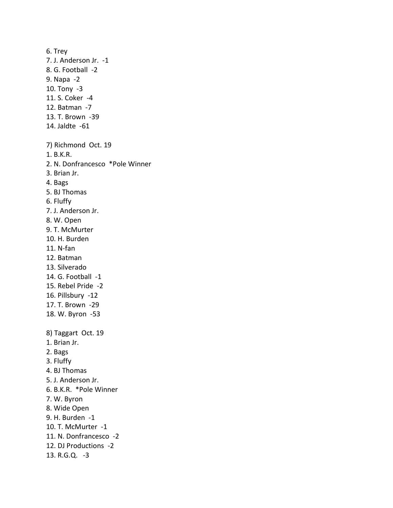6. Trey 7. J. Anderson Jr. -1 8. G. Football -2 9. Napa -2 10. Tony -3 11. S. Coker -4 12. Batman -7 13. T. Brown -39 14. Jaldte -61 7) Richmond Oct. 19 1. B.K.R. 2. N. Donfrancesco \*Pole Winner 3. Brian Jr. 4. Bags 5. BJ Thomas 6. Fluffy 7. J. Anderson Jr. 8. W. Open 9. T. McMurter 10. H. Burden 11. N-fan 12. Batman 13. Silverado 14. G. Football -1 15. Rebel Pride -2 16. Pillsbury -12 17. T. Brown -29 18. W. Byron -53 8) Taggart Oct. 19 1. Brian Jr. 2. Bags 3. Fluffy 4. BJ Thomas 5. J. Anderson Jr. 6. B.K.R. \*Pole Winner 7. W. Byron 8. Wide Open 9. H. Burden -1 10. T. McMurter -1 11. N. Donfrancesco -2 12. DJ Productions -2 13. R.G.Q. -3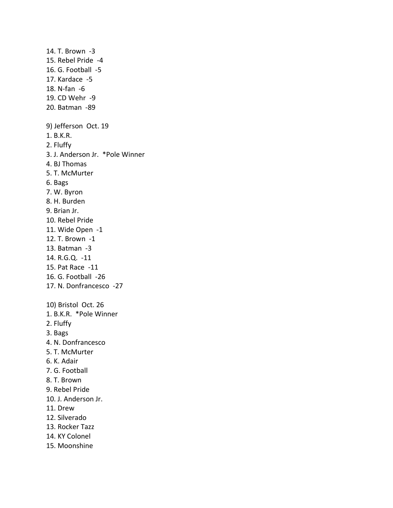15. Rebel Pride -4 16. G. Football -5 17. Kardace -5 18. N-fan -6 19. CD Wehr -9 20. Batman -89 9) Jefferson Oct. 19 1. B.K.R. 2. Fluffy 3. J. Anderson Jr. \*Pole Winner 4. BJ Thomas 5. T. McMurter 6. Bags 7. W. Byron 8. H. Burden 9. Brian Jr. 10. Rebel Pride 11. Wide Open -1 12. T. Brown -1 13. Batman -3 14. R.G.Q. -11 15. Pat Race -11 16. G. Football -26 17. N. Donfrancesco -27 10) Bristol Oct. 26 1. B.K.R. \*Pole Winner 2. Fluffy 3. Bags 4. N. Donfrancesco 5. T. McMurter 6. K. Adair 7. G. Football 8. T. Brown 9. Rebel Pride 10. J. Anderson Jr. 11. Drew 12. Silverado 13. Rocker Tazz 14. KY Colonel 15. Moonshine

14. T. Brown -3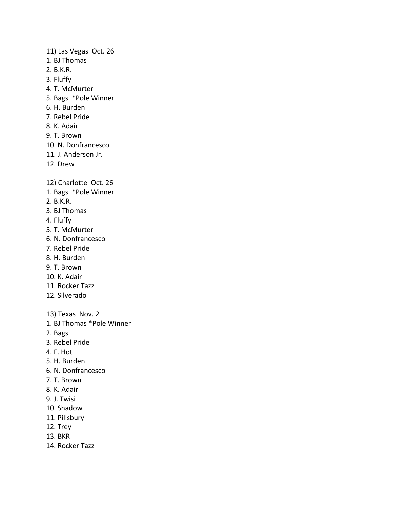11) Las Vegas Oct. 26 1. BJ Thomas 2. B.K.R. 3. Fluffy 4. T. McMurter 5. Bags \*Pole Winner 6. H. Burden 7. Rebel Pride 8. K. Adair 9. T. Brown 10. N. Donfrancesco 11. J. Anderson Jr. 12. Drew 12) Charlotte Oct. 26 1. Bags \*Pole Winner 2. B.K.R. 3. BJ Thomas 4. Fluffy 5. T. McMurter 6. N. Donfrancesco 7. Rebel Pride 8. H. Burden 9. T. Brown 10. K. Adair 11. Rocker Tazz 12. Silverado 13) Texas Nov. 2 1. BJ Thomas \*Pole Winner 2. Bags 3. Rebel Pride 4. F. Hot 5. H. Burden 6. N. Donfrancesco 7. T. Brown 8. K. Adair 9. J. Twisi 10. Shadow 11. Pillsbury 12. Trey 13. BKR 14. Rocker Tazz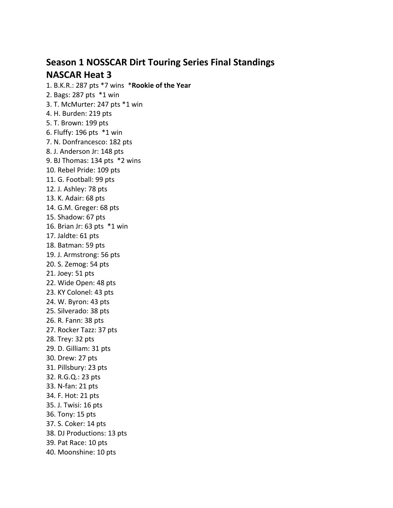# **Season 1 NOSSCAR Dirt Touring Series Final Standings NASCAR Heat 3**

1. B.K.R.: 287 pts \*7 wins \***Rookie of the Year** 2. Bags: 287 pts \*1 win 3. T. McMurter: 247 pts \*1 win 4. H. Burden: 219 pts 5. T. Brown: 199 pts 6. Fluffy: 196 pts \*1 win 7. N. Donfrancesco: 182 pts 8. J. Anderson Jr: 148 pts 9. BJ Thomas: 134 pts \*2 wins 10. Rebel Pride: 109 pts 11. G. Football: 99 pts 12. J. Ashley: 78 pts 13. K. Adair: 68 pts 14. G.M. Greger: 68 pts 15. Shadow: 67 pts 16. Brian Jr: 63 pts \*1 win 17. Jaldte: 61 pts 18. Batman: 59 pts 19. J. Armstrong: 56 pts 20. S. Zemog: 54 pts 21. Joey: 51 pts 22. Wide Open: 48 pts 23. KY Colonel: 43 pts 24. W. Byron: 43 pts 25. Silverado: 38 pts 26. R. Fann: 38 pts 27. Rocker Tazz: 37 pts 28. Trey: 32 pts 29. D. Gilliam: 31 pts 30. Drew: 27 pts 31. Pillsbury: 23 pts 32. R.G.Q.: 23 pts 33. N-fan: 21 pts 34. F. Hot: 21 pts 35. J. Twisi: 16 pts 36. Tony: 15 pts 37. S. Coker: 14 pts 38. DJ Productions: 13 pts 39. Pat Race: 10 pts 40. Moonshine: 10 pts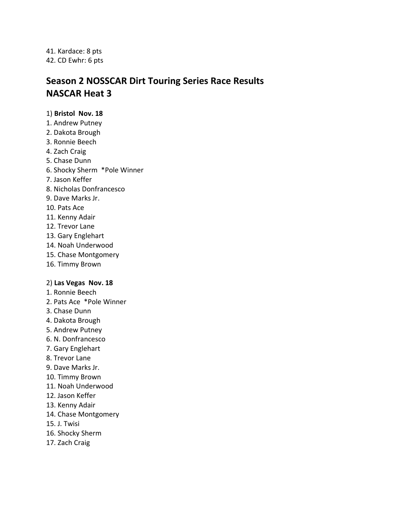41. Kardace: 8 pts 42. CD Ewhr: 6 pts

# **Season 2 NOSSCAR Dirt Touring Series Race Results NASCAR Heat 3**

# 1) **Bristol Nov. 18**

- 1. Andrew Putney
- 2. Dakota Brough
- 3. Ronnie Beech
- 4. Zach Craig
- 5. Chase Dunn
- 6. Shocky Sherm \*Pole Winner
- 7. Jason Keffer
- 8. Nicholas Donfrancesco
- 9. Dave Marks Jr.
- 10. Pats Ace
- 11. Kenny Adair
- 12. Trevor Lane
- 13. Gary Englehart
- 14. Noah Underwood
- 15. Chase Montgomery
- 16. Timmy Brown

# 2) **Las Vegas Nov. 18**

- 1. Ronnie Beech
- 2. Pats Ace \*Pole Winner
- 3. Chase Dunn
- 4. Dakota Brough
- 5. Andrew Putney
- 6. N. Donfrancesco
- 7. Gary Englehart
- 8. Trevor Lane
- 9. Dave Marks Jr.
- 10. Timmy Brown
- 11. Noah Underwood
- 12. Jason Keffer
- 13. Kenny Adair
- 14. Chase Montgomery
- 15. J. Twisi
- 16. Shocky Sherm
- 17. Zach Craig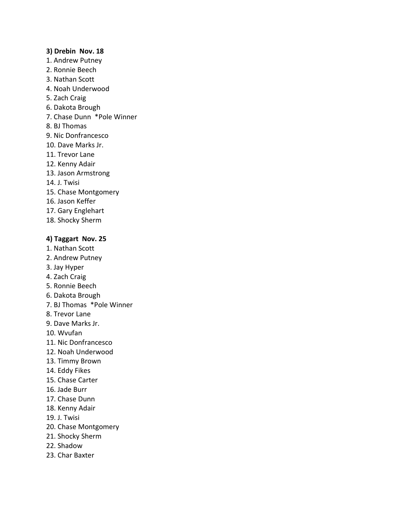#### **3) Drebin Nov. 18**

- 1. Andrew Putney
- 2. Ronnie Beech
- 3. Nathan Scott
- 4. Noah Underwood
- 5. Zach Craig
- 6. Dakota Brough
- 7. Chase Dunn \*Pole Winner
- 8. BJ Thomas
- 9. Nic Donfrancesco
- 10. Dave Marks Jr.
- 11. Trevor Lane
- 12. Kenny Adair
- 13. Jason Armstrong
- 14. J. Twisi
- 15. Chase Montgomery
- 16. Jason Keffer
- 17. Gary Englehart
- 18. Shocky Sherm

# **4) Taggart Nov. 25**

- 1. Nathan Scott
- 2. Andrew Putney
- 3. Jay Hyper
- 4. Zach Craig
- 5. Ronnie Beech
- 6. Dakota Brough
- 7. BJ Thomas \*Pole Winner
- 8. Trevor Lane
- 9. Dave Marks Jr.
- 10. Wvufan
- 11. Nic Donfrancesco
- 12. Noah Underwood
- 13. Timmy Brown
- 14. Eddy Fikes
- 15. Chase Carter
- 16. Jade Burr
- 17. Chase Dunn
- 18. Kenny Adair
- 19. J. Twisi
- 20. Chase Montgomery
- 21. Shocky Sherm
- 22. Shadow
- 23. Char Baxter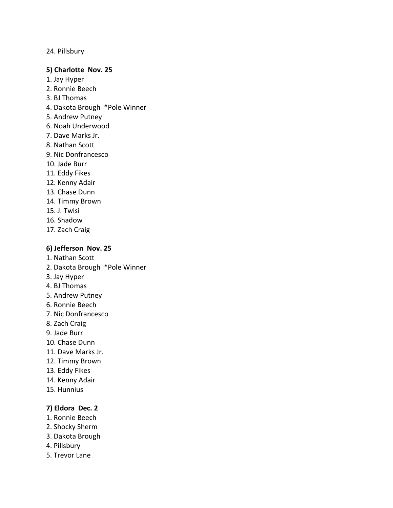# 24. Pillsbury

### **5) Charlotte Nov. 25**

- 1. Jay Hyper
- 2. Ronnie Beech
- 3. BJ Thomas
- 4. Dakota Brough \*Pole Winner
- 5. Andrew Putney
- 6. Noah Underwood
- 7. Dave Marks Jr.
- 8. Nathan Scott
- 9. Nic Donfrancesco
- 10. Jade Burr
- 11. Eddy Fikes
- 12. Kenny Adair
- 13. Chase Dunn
- 14. Timmy Brown
- 15. J. Twisi
- 16. Shadow
- 17. Zach Craig

# **6) Jefferson Nov. 25**

- 1. Nathan Scott
- 2. Dakota Brough \*Pole Winner
- 3. Jay Hyper
- 4. BJ Thomas
- 5. Andrew Putney
- 6. Ronnie Beech
- 7. Nic Donfrancesco
- 8. Zach Craig
- 9. Jade Burr
- 10. Chase Dunn
- 11. Dave Marks Jr.
- 12. Timmy Brown
- 13. Eddy Fikes
- 14. Kenny Adair
- 15. Hunnius

# **7) Eldora Dec. 2**

- 1. Ronnie Beech
- 2. Shocky Sherm
- 3. Dakota Brough
- 4. Pillsbury
- 5. Trevor Lane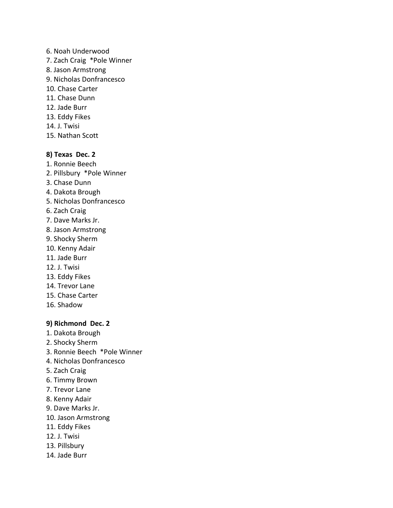- 6. Noah Underwood
- 7. Zach Craig \*Pole Winner
- 8. Jason Armstrong
- 9. Nicholas Donfrancesco
- 10. Chase Carter
- 11. Chase Dunn
- 12. Jade Burr
- 13. Eddy Fikes
- 14. J. Twisi
- 15. Nathan Scott

#### **8) Texas Dec. 2**

- 1. Ronnie Beech
- 2. Pillsbury \*Pole Winner
- 3. Chase Dunn
- 4. Dakota Brough
- 5. Nicholas Donfrancesco
- 6. Zach Craig
- 7. Dave Marks Jr.
- 8. Jason Armstrong
- 9. Shocky Sherm
- 10. Kenny Adair
- 11. Jade Burr
- 12. J. Twisi
- 13. Eddy Fikes
- 14. Trevor Lane
- 15. Chase Carter
- 16. Shadow

#### **9) Richmond Dec. 2**

- 1. Dakota Brough
- 2. Shocky Sherm
- 3. Ronnie Beech \*Pole Winner
- 4. Nicholas Donfrancesco
- 5. Zach Craig
- 6. Timmy Brown
- 7. Trevor Lane
- 8. Kenny Adair
- 9. Dave Marks Jr.
- 10. Jason Armstrong
- 11. Eddy Fikes
- 12. J. Twisi
- 13. Pillsbury
- 14. Jade Burr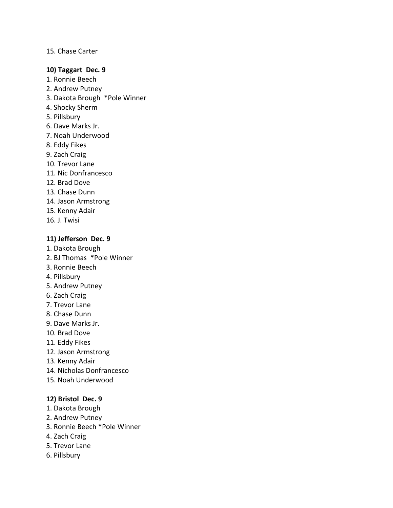# 15. Chase Carter

#### **10) Taggart Dec. 9**

- 1. Ronnie Beech
- 2. Andrew Putney
- 3. Dakota Brough \*Pole Winner
- 4. Shocky Sherm
- 5. Pillsbury
- 6. Dave Marks Jr.
- 7. Noah Underwood
- 8. Eddy Fikes
- 9. Zach Craig
- 10. Trevor Lane
- 11. Nic Donfrancesco
- 12. Brad Dove
- 13. Chase Dunn
- 14. Jason Armstrong
- 15. Kenny Adair
- 16. J. Twisi

# **11) Jefferson Dec. 9**

- 1. Dakota Brough
- 2. BJ Thomas \*Pole Winner
- 3. Ronnie Beech
- 4. Pillsbury
- 5. Andrew Putney
- 6. Zach Craig
- 7. Trevor Lane
- 8. Chase Dunn
- 9. Dave Marks Jr.
- 10. Brad Dove
- 11. Eddy Fikes
- 12. Jason Armstrong
- 13. Kenny Adair
- 14. Nicholas Donfrancesco
- 15. Noah Underwood

# **12) Bristol Dec. 9**

- 1. Dakota Brough
- 2. Andrew Putney
- 3. Ronnie Beech \*Pole Winner
- 4. Zach Craig
- 5. Trevor Lane
- 6. Pillsbury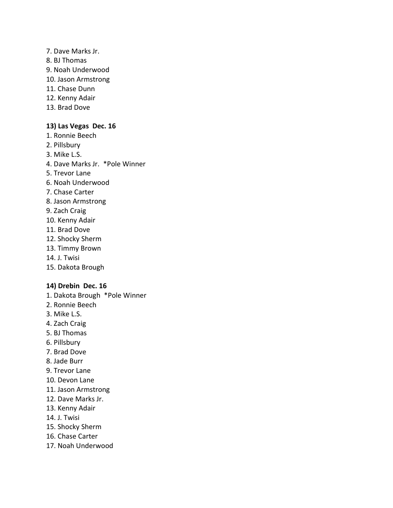- 7. Dave Marks Jr.
- 8. BJ Thomas
- 9. Noah Underwood
- 10. Jason Armstrong
- 11. Chase Dunn
- 12. Kenny Adair
- 13. Brad Dove

# **13) Las Vegas Dec. 16**

- 1. Ronnie Beech
- 2. Pillsbury
- 3. Mike L.S.
- 4. Dave Marks Jr. \*Pole Winner
- 5. Trevor Lane
- 6. Noah Underwood
- 7. Chase Carter
- 8. Jason Armstrong
- 9. Zach Craig
- 10. Kenny Adair
- 11. Brad Dove
- 12. Shocky Sherm
- 13. Timmy Brown
- 14. J. Twisi
- 15. Dakota Brough

# **14) Drebin Dec. 16**

- 1. Dakota Brough \*Pole Winner
- 2. Ronnie Beech
- 3. Mike L.S.
- 4. Zach Craig
- 5. BJ Thomas
- 6. Pillsbury
- 7. Brad Dove
- 8. Jade Burr
- 9. Trevor Lane
- 10. Devon Lane
- 11. Jason Armstrong
- 12. Dave Marks Jr.
- 13. Kenny Adair
- 14. J. Twisi
- 15. Shocky Sherm
- 16. Chase Carter
- 17. Noah Underwood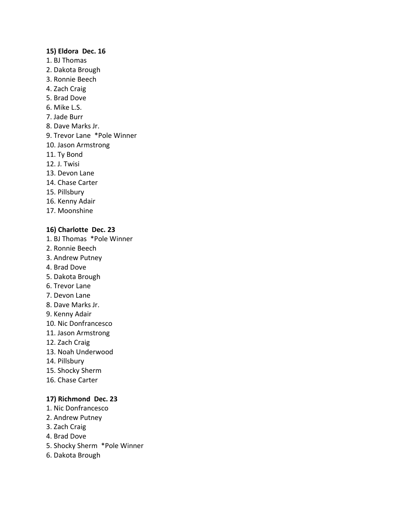#### **15) Eldora Dec. 16**

- 1. BJ Thomas
- 2. Dakota Brough
- 3. Ronnie Beech
- 4. Zach Craig
- 5. Brad Dove
- 6. Mike L.S.
- 7. Jade Burr
- 8. Dave Marks Jr.
- 9. Trevor Lane \*Pole Winner
- 10. Jason Armstrong
- 11. Ty Bond
- 12. J. Twisi
- 13. Devon Lane
- 14. Chase Carter
- 15. Pillsbury
- 16. Kenny Adair
- 17. Moonshine

# **16) Charlotte Dec. 23**

- 1. BJ Thomas \*Pole Winner
- 2. Ronnie Beech
- 3. Andrew Putney
- 4. Brad Dove
- 5. Dakota Brough
- 6. Trevor Lane
- 7. Devon Lane
- 8. Dave Marks Jr.
- 9. Kenny Adair
- 10. Nic Donfrancesco
- 11. Jason Armstrong
- 12. Zach Craig
- 13. Noah Underwood
- 14. Pillsbury
- 15. Shocky Sherm
- 16. Chase Carter

# **17) Richmond Dec. 23**

- 1. Nic Donfrancesco
- 2. Andrew Putney
- 3. Zach Craig
- 4. Brad Dove
- 5. Shocky Sherm \*Pole Winner
- 6. Dakota Brough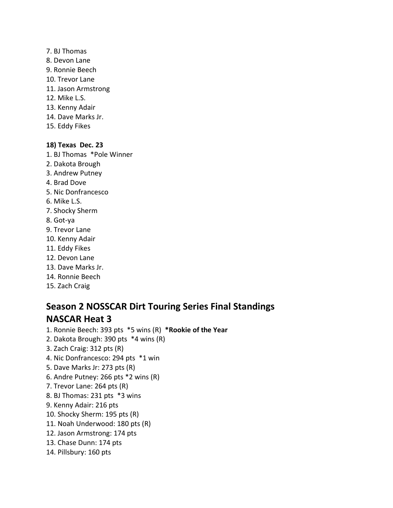- 7. BJ Thomas
- 8. Devon Lane
- 9. Ronnie Beech
- 10. Trevor Lane
- 11. Jason Armstrong
- 12. Mike L.S.
- 13. Kenny Adair
- 14. Dave Marks Jr.
- 15. Eddy Fikes

# **18) Texas Dec. 23**

- 1. BJ Thomas \*Pole Winner
- 2. Dakota Brough
- 3. Andrew Putney
- 4. Brad Dove
- 5. Nic Donfrancesco
- 6. Mike L.S.
- 7. Shocky Sherm
- 8. Got-ya
- 9. Trevor Lane
- 10. Kenny Adair
- 11. Eddy Fikes
- 12. Devon Lane
- 13. Dave Marks Jr.
- 14. Ronnie Beech
- 15. Zach Craig

# **Season 2 NOSSCAR Dirt Touring Series Final Standings NASCAR Heat 3**

- 1. Ronnie Beech: 393 pts \*5 wins (R) **\*Rookie of the Year**
- 2. Dakota Brough: 390 pts \*4 wins (R)
- 3. Zach Craig: 312 pts (R)
- 4. Nic Donfrancesco: 294 pts \*1 win
- 5. Dave Marks Jr: 273 pts (R)
- 6. Andre Putney: 266 pts \*2 wins (R)
- 7. Trevor Lane: 264 pts (R)
- 8. BJ Thomas: 231 pts \*3 wins
- 9. Kenny Adair: 216 pts
- 10. Shocky Sherm: 195 pts (R)
- 11. Noah Underwood: 180 pts (R)
- 12. Jason Armstrong: 174 pts
- 13. Chase Dunn: 174 pts
- 14. Pillsbury: 160 pts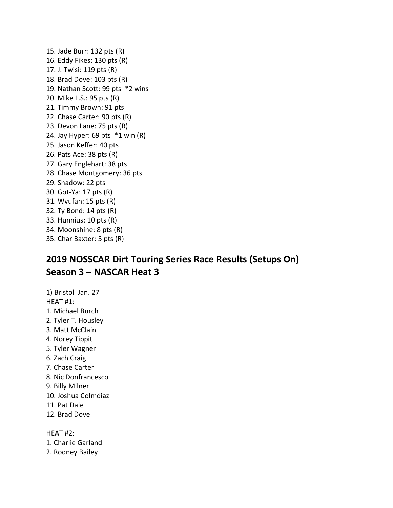15. Jade Burr: 132 pts (R) 16. Eddy Fikes: 130 pts (R) 17. J. Twisi: 119 pts (R) 18. Brad Dove: 103 pts (R) 19. Nathan Scott: 99 pts \*2 wins 20. Mike L.S.: 95 pts (R) 21. Timmy Brown: 91 pts 22. Chase Carter: 90 pts (R) 23. Devon Lane: 75 pts (R) 24. Jay Hyper: 69 pts \*1 win (R) 25. Jason Keffer: 40 pts 26. Pats Ace: 38 pts (R) 27. Gary Englehart: 38 pts 28. Chase Montgomery: 36 pts 29. Shadow: 22 pts 30. Got-Ya: 17 pts (R) 31. Wvufan: 15 pts (R) 32. Ty Bond: 14 pts (R) 33. Hunnius: 10 pts (R) 34. Moonshine: 8 pts (R) 35. Char Baxter: 5 pts (R)

# **2019 NOSSCAR Dirt Touring Series Race Results (Setups On) Season 3 – NASCAR Heat 3**

1) Bristol Jan. 27 HEAT #1: 1. Michael Burch 2. Tyler T. Housley 3. Matt McClain 4. Norey Tippit 5. Tyler Wagner 6. Zach Craig 7. Chase Carter 8. Nic Donfrancesco 9. Billy Milner 10. Joshua Colmdiaz 11. Pat Dale 12. Brad Dove

1. Charlie Garland

HEAT #2:

2. Rodney Bailey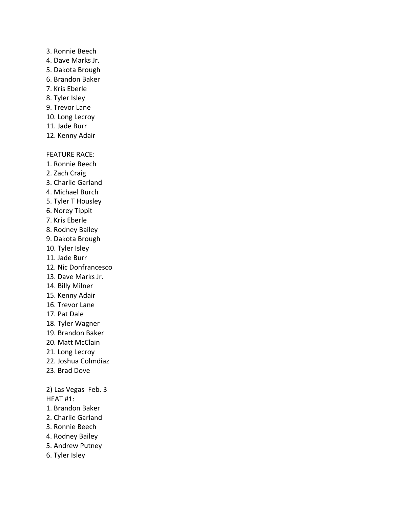#### 3. Ronnie Beech

- 4. Dave Marks Jr.
- 5. Dakota Brough
- 6. Brandon Baker
- 7. Kris Eberle
- 8. Tyler Isley
- 9. Trevor Lane
- 10. Long Lecroy
- 11. Jade Burr
- 12. Kenny Adair

#### FEATURE RACE:

- 1. Ronnie Beech
- 2. Zach Craig
- 3. Charlie Garland
- 4. Michael Burch
- 5. Tyler T Housley
- 6. Norey Tippit
- 7. Kris Eberle
- 8. Rodney Bailey
- 9. Dakota Brough
- 10. Tyler Isley
- 11. Jade Burr
- 12. Nic Donfrancesco
- 13. Dave Marks Jr.
- 14. Billy Milner
- 15. Kenny Adair
- 16. Trevor Lane
- 17. Pat Dale
- 18. Tyler Wagner
- 19. Brandon Baker
- 20. Matt McClain
- 21. Long Lecroy
- 22. Joshua Colmdiaz
- 23. Brad Dove

2) Las Vegas Feb. 3 HEAT #1:

- 1. Brandon Baker
- 2. Charlie Garland
- 3. Ronnie Beech
- 4. Rodney Bailey
- 5. Andrew Putney
- 6. Tyler Isley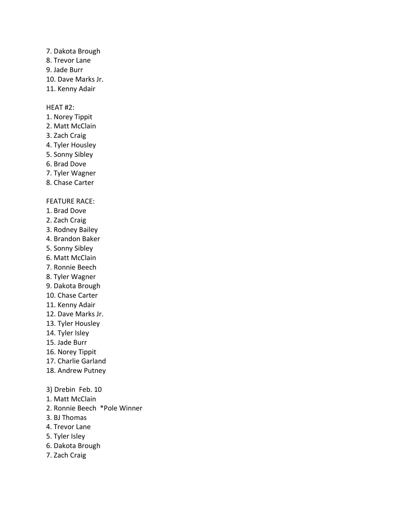- 7. Dakota Brough
- 8. Trevor Lane
- 9. Jade Burr
- 10. Dave Marks Jr.
- 11. Kenny Adair

# HEAT #2:

- 1. Norey Tippit
- 2. Matt McClain
- 3. Zach Craig
- 4. Tyler Housley
- 5. Sonny Sibley
- 6. Brad Dove
- 7. Tyler Wagner
- 8. Chase Carter

# FEATURE RACE:

- 1. Brad Dove
- 2. Zach Craig
- 3. Rodney Bailey
- 4. Brandon Baker
- 5. Sonny Sibley
- 6. Matt McClain
- 7. Ronnie Beech
- 8. Tyler Wagner
- 9. Dakota Brough
- 10. Chase Carter
- 11. Kenny Adair
- 12. Dave Marks Jr.
- 13. Tyler Housley
- 14. Tyler Isley
- 15. Jade Burr
- 16. Norey Tippit
- 17. Charlie Garland
- 18. Andrew Putney
- 3) Drebin Feb. 10
- 1. Matt McClain
- 2. Ronnie Beech \*Pole Winner
- 3. BJ Thomas
- 4. Trevor Lane
- 5. Tyler Isley
- 6. Dakota Brough
- 7. Zach Craig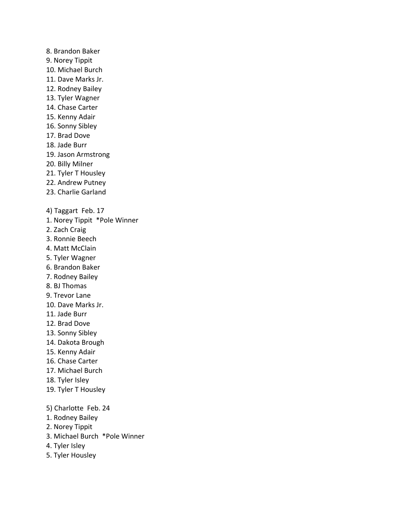- 8. Brandon Baker 9. Norey Tippit 10. Michael Burch 11. Dave Marks Jr. 12. Rodney Bailey 13. Tyler Wagner 14. Chase Carter 15. Kenny Adair 16. Sonny Sibley 17. Brad Dove 18. Jade Burr 19. Jason Armstrong 20. Billy Milner 21. Tyler T Housley 22. Andrew Putney 23. Charlie Garland 4) Taggart Feb. 17 1. Norey Tippit \*Pole Winner 2. Zach Craig 3. Ronnie Beech 4. Matt McClain 5. Tyler Wagner 6. Brandon Baker 7. Rodney Bailey 8. BJ Thomas 9. Trevor Lane 10. Dave Marks Jr. 11. Jade Burr 12. Brad Dove 13. Sonny Sibley 14. Dakota Brough 15. Kenny Adair 16. Chase Carter 17. Michael Burch 18. Tyler Isley 19. Tyler T Housley 5) Charlotte Feb. 24 1. Rodney Bailey 2. Norey Tippit 3. Michael Burch \*Pole Winner 4. Tyler Isley
- 5. Tyler Housley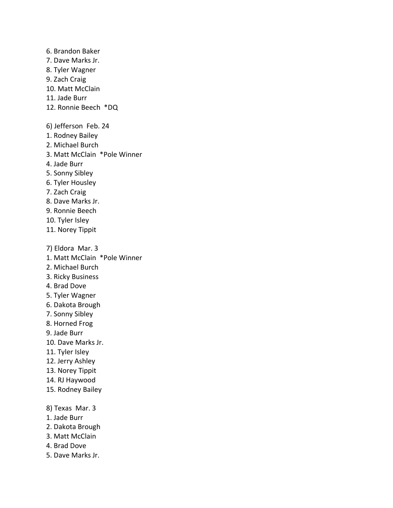6. Brandon Baker 7. Dave Marks Jr. 8. Tyler Wagner 9. Zach Craig 10. Matt McClain 11. Jade Burr 12. Ronnie Beech \*DQ 6) Jefferson Feb. 24 1. Rodney Bailey 2. Michael Burch 3. Matt McClain \*Pole Winner 4. Jade Burr 5. Sonny Sibley 6. Tyler Housley 7. Zach Craig 8. Dave Marks Jr. 9. Ronnie Beech 10. Tyler Isley 11. Norey Tippit 7) Eldora Mar. 3 1. Matt McClain \*Pole Winner 2. Michael Burch 3. Ricky Business 4. Brad Dove 5. Tyler Wagner 6. Dakota Brough 7. Sonny Sibley 8. Horned Frog 9. Jade Burr 10. Dave Marks Jr. 11. Tyler Isley 12. Jerry Ashley 13. Norey Tippit 14. RJ Haywood 15. Rodney Bailey 8) Texas Mar. 3 1. Jade Burr 2. Dakota Brough 3. Matt McClain 4. Brad Dove 5. Dave Marks Jr.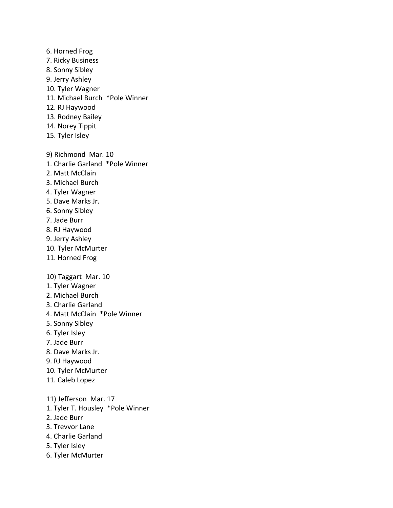- 6. Horned Frog
- 7. Ricky Business
- 8. Sonny Sibley
- 9. Jerry Ashley
- 10. Tyler Wagner
- 11. Michael Burch \*Pole Winner
- 12. RJ Haywood
- 13. Rodney Bailey
- 14. Norey Tippit
- 15. Tyler Isley
- 9) Richmond Mar. 10
- 1. Charlie Garland \*Pole Winner
- 2. Matt McClain
- 3. Michael Burch
- 4. Tyler Wagner
- 5. Dave Marks Jr.
- 6. Sonny Sibley
- 7. Jade Burr
- 8. RJ Haywood
- 9. Jerry Ashley
- 10. Tyler McMurter
- 11. Horned Frog

10) Taggart Mar. 10

- 1. Tyler Wagner
- 2. Michael Burch
- 3. Charlie Garland
- 4. Matt McClain \*Pole Winner
- 5. Sonny Sibley
- 6. Tyler Isley
- 7. Jade Burr
- 8. Dave Marks Jr.
- 9. RJ Haywood
- 10. Tyler McMurter
- 11. Caleb Lopez
- 11) Jefferson Mar. 17
- 1. Tyler T. Housley \*Pole Winner
- 2. Jade Burr
- 3. Trevvor Lane
- 4. Charlie Garland
- 5. Tyler Isley
- 6. Tyler McMurter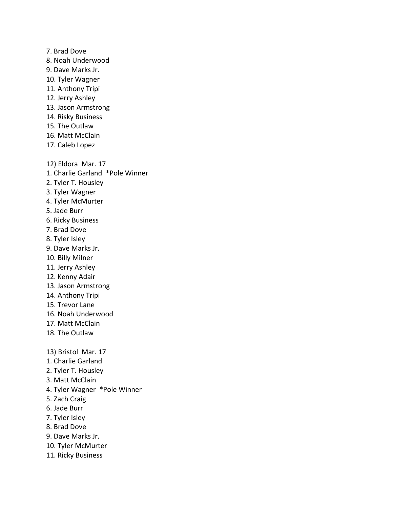7. Brad Dove 8. Noah Underwood 9. Dave Marks Jr. 10. Tyler Wagner 11. Anthony Tripi 12. Jerry Ashley 13. Jason Armstrong 14. Risky Business 15. The Outlaw 16. Matt McClain 17. Caleb Lopez 12) Eldora Mar. 17 1. Charlie Garland \*Pole Winner 2. Tyler T. Housley 3. Tyler Wagner 4. Tyler McMurter 5. Jade Burr 6. Ricky Business 7. Brad Dove 8. Tyler Isley 9. Dave Marks Jr. 10. Billy Milner 11. Jerry Ashley 12. Kenny Adair 13. Jason Armstrong 14. Anthony Tripi 15. Trevor Lane 16. Noah Underwood 17. Matt McClain 18. The Outlaw 13) Bristol Mar. 17 1. Charlie Garland 2. Tyler T. Housley 3. Matt McClain

- 4. Tyler Wagner \*Pole Winner
- 5. Zach Craig
- 6. Jade Burr
- 7. Tyler Isley
- 8. Brad Dove
- 9. Dave Marks Jr.
- 10. Tyler McMurter
- 11. Ricky Business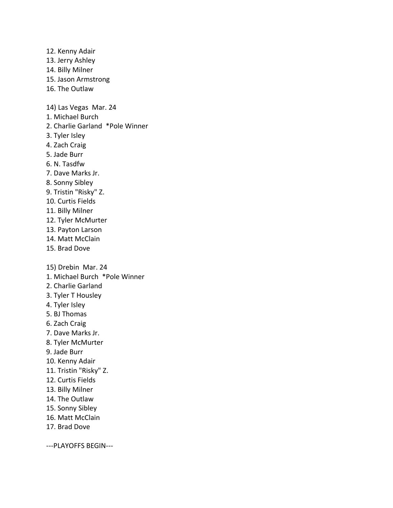13. Jerry Ashley 14. Billy Milner 15. Jason Armstrong 16. The Outlaw 14) Las Vegas Mar. 24 1. Michael Burch 2. Charlie Garland \*Pole Winner 3. Tyler Isley 4. Zach Craig 5. Jade Burr 6. N. Tasdfw 7. Dave Marks Jr. 8. Sonny Sibley 9. Tristin "Risky" Z. 10. Curtis Fields 11. Billy Milner 12. Tyler McMurter 13. Payton Larson 14. Matt McClain 15. Brad Dove 15) Drebin Mar. 24 1. Michael Burch \*Pole Winner 2. Charlie Garland 3. Tyler T Housley 4. Tyler Isley 5. BJ Thomas 6. Zach Craig 7. Dave Marks Jr. 8. Tyler McMurter 9. Jade Burr 10. Kenny Adair 11. Tristin "Risky" Z. 12. Curtis Fields 13. Billy Milner 14. The Outlaw 15. Sonny Sibley 16. Matt McClain 17. Brad Dove

12. Kenny Adair

---PLAYOFFS BEGIN---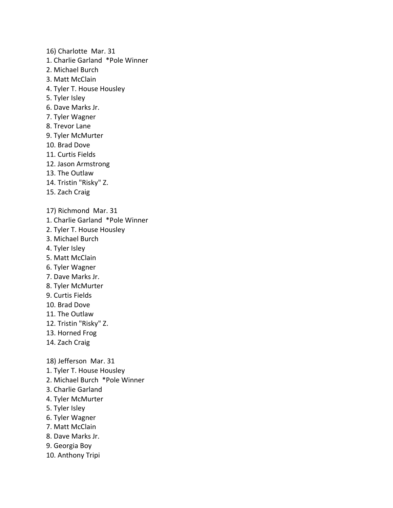- 16) Charlotte Mar. 31 1. Charlie Garland \*Pole Winner 2. Michael Burch 3. Matt McClain 4. Tyler T. House Housley 5. Tyler Isley 6. Dave Marks Jr. 7. Tyler Wagner 8. Trevor Lane 9. Tyler McMurter 10. Brad Dove 11. Curtis Fields 12. Jason Armstrong 13. The Outlaw 14. Tristin "Risky" Z. 15. Zach Craig 17) Richmond Mar. 31 1. Charlie Garland \*Pole Winner 2. Tyler T. House Housley 3. Michael Burch 4. Tyler Isley 5. Matt McClain 6. Tyler Wagner 7. Dave Marks Jr. 8. Tyler McMurter 9. Curtis Fields 10. Brad Dove 11. The Outlaw 12. Tristin "Risky" Z. 13. Horned Frog 14. Zach Craig 18) Jefferson Mar. 31 1. Tyler T. House Housley
- 2. Michael Burch \*Pole Winner
- 3. Charlie Garland
- 4. Tyler McMurter
- 5. Tyler Isley
- 6. Tyler Wagner
- 7. Matt McClain
- 8. Dave Marks Jr.
- 9. Georgia Boy
- 10. Anthony Tripi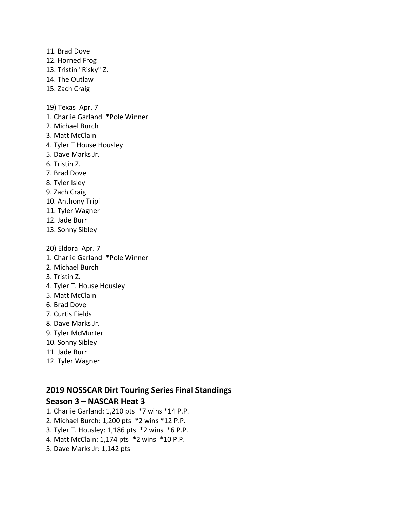11. Brad Dove 12. Horned Frog 13. Tristin "Risky" Z. 14. The Outlaw 15. Zach Craig 19) Texas Apr. 7 1. Charlie Garland \*Pole Winner 2. Michael Burch 3. Matt McClain 4. Tyler T House Housley 5. Dave Marks Jr. 6. Tristin Z. 7. Brad Dove 8. Tyler Isley 9. Zach Craig 10. Anthony Tripi 11. Tyler Wagner 12. Jade Burr 13. Sonny Sibley 20) Eldora Apr. 7 1. Charlie Garland \*Pole Winner 2. Michael Burch 3. Tristin Z. 4. Tyler T. House Housley 5. Matt McClain 6. Brad Dove 7. Curtis Fields 8. Dave Marks Jr.

- 9. Tyler McMurter
- 10. Sonny Sibley
- 11. Jade Burr
- 12. Tyler Wagner

# **2019 NOSSCAR Dirt Touring Series Final Standings**

# **Season 3 – NASCAR Heat 3**

- 1. Charlie Garland: 1,210 pts \*7 wins \*14 P.P.
- 2. Michael Burch: 1,200 pts \*2 wins \*12 P.P.
- 3. Tyler T. Housley: 1,186 pts \*2 wins \*6 P.P.
- 4. Matt McClain: 1,174 pts \*2 wins \*10 P.P.
- 5. Dave Marks Jr: 1,142 pts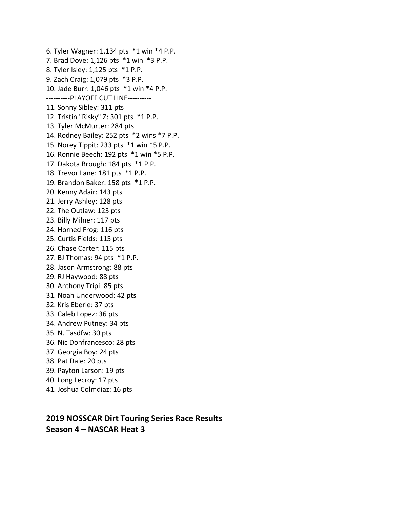6. Tyler Wagner: 1,134 pts \*1 win \*4 P.P. 7. Brad Dove: 1,126 pts \*1 win \*3 P.P. 8. Tyler Isley: 1,125 pts \*1 P.P. 9. Zach Craig: 1,079 pts \*3 P.P. 10. Jade Burr: 1,046 pts \*1 win \*4 P.P. ----------PLAYOFF CUT LINE---------- 11. Sonny Sibley: 311 pts 12. Tristin "Risky" Z: 301 pts \*1 P.P. 13. Tyler McMurter: 284 pts 14. Rodney Bailey: 252 pts \*2 wins \*7 P.P. 15. Norey Tippit: 233 pts \*1 win \*5 P.P. 16. Ronnie Beech: 192 pts \*1 win \*5 P.P. 17. Dakota Brough: 184 pts \*1 P.P. 18. Trevor Lane: 181 pts \*1 P.P. 19. Brandon Baker: 158 pts \*1 P.P. 20. Kenny Adair: 143 pts 21. Jerry Ashley: 128 pts 22. The Outlaw: 123 pts 23. Billy Milner: 117 pts 24. Horned Frog: 116 pts 25. Curtis Fields: 115 pts 26. Chase Carter: 115 pts 27. BJ Thomas: 94 pts \*1 P.P. 28. Jason Armstrong: 88 pts 29. RJ Haywood: 88 pts 30. Anthony Tripi: 85 pts 31. Noah Underwood: 42 pts 32. Kris Eberle: 37 pts 33. Caleb Lopez: 36 pts 34. Andrew Putney: 34 pts 35. N. Tasdfw: 30 pts 36. Nic Donfrancesco: 28 pts 37. Georgia Boy: 24 pts 38. Pat Dale: 20 pts 39. Payton Larson: 19 pts 40. Long Lecroy: 17 pts

41. Joshua Colmdiaz: 16 pts

**2019 NOSSCAR Dirt Touring Series Race Results Season 4 – NASCAR Heat 3**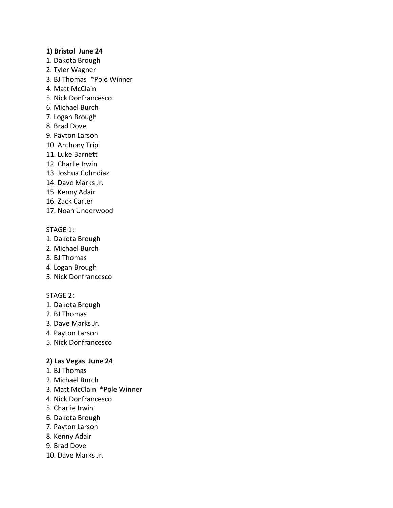### **1) Bristol June 24**

- 1. Dakota Brough
- 2. Tyler Wagner
- 3. BJ Thomas \*Pole Winner
- 4. Matt McClain
- 5. Nick Donfrancesco
- 6. Michael Burch
- 7. Logan Brough
- 8. Brad Dove
- 9. Payton Larson
- 10. Anthony Tripi
- 11. Luke Barnett
- 12. Charlie Irwin
- 13. Joshua Colmdiaz
- 14. Dave Marks Jr.
- 15. Kenny Adair
- 16. Zack Carter
- 17. Noah Underwood

#### STAGE 1:

- 1. Dakota Brough
- 2. Michael Burch
- 3. BJ Thomas
- 4. Logan Brough
- 5. Nick Donfrancesco

### STAGE 2:

- 1. Dakota Brough
- 2. BJ Thomas
- 3. Dave Marks Jr.
- 4. Payton Larson
- 5. Nick Donfrancesco

# **2) Las Vegas June 24**

- 1. BJ Thomas
- 2. Michael Burch
- 3. Matt McClain \*Pole Winner
- 4. Nick Donfrancesco
- 5. Charlie Irwin
- 6. Dakota Brough
- 7. Payton Larson
- 8. Kenny Adair
- 9. Brad Dove
- 10. Dave Marks Jr.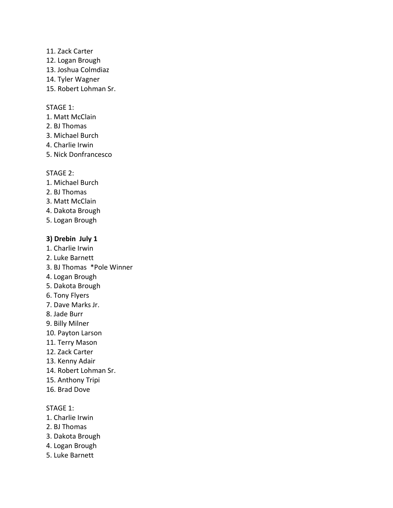- 11. Zack Carter
- 12. Logan Brough
- 13. Joshua Colmdiaz
- 14. Tyler Wagner
- 15. Robert Lohman Sr.

#### STAGE 1:

- 1. Matt McClain
- 2. BJ Thomas
- 3. Michael Burch
- 4. Charlie Irwin
- 5. Nick Donfrancesco

#### STAGE 2:

- 1. Michael Burch
- 2. BJ Thomas
- 3. Matt McClain
- 4. Dakota Brough
- 5. Logan Brough

# **3) Drebin July 1**

- 1. Charlie Irwin
- 2. Luke Barnett
- 3. BJ Thomas \*Pole Winner
- 4. Logan Brough
- 5. Dakota Brough
- 6. Tony Flyers
- 7. Dave Marks Jr.
- 8. Jade Burr
- 9. Billy Milner
- 10. Payton Larson
- 11. Terry Mason
- 12. Zack Carter
- 13. Kenny Adair
- 14. Robert Lohman Sr.
- 15. Anthony Tripi
- 16. Brad Dove

- 1. Charlie Irwin
- 2. BJ Thomas
- 3. Dakota Brough
- 4. Logan Brough
- 5. Luke Barnett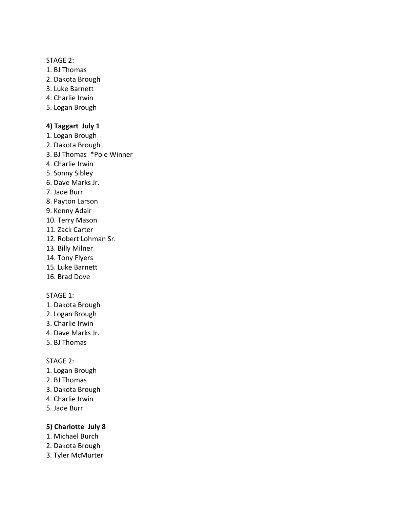# STAGE 2:

- 1. BJ Thomas
- 2. Dakota Brough
- 3. Luke Barnett
- 4. Charlie Irwin
- 5. Logan Brough

# **4) Taggart July 1**

- 1. Logan Brough
- 2. Dakota Brough
- 3. BJ Thomas \*Pole Winner
- 4. Charlie Irwin
- 5. Sonny Sibley
- 6. Dave Marks Jr.
- 7. Jade Burr
- 8. Payton Larson
- 9. Kenny Adair
- 10. Terry Mason
- 11. Zack Carter
- 12. Robert Lohman Sr.
- 13. Billy Milner
- 14. Tony Flyers
- 15. Luke Barnett
- 16. Brad Dove

### STAGE 1:

- 1. Dakota Brough
- 2. Logan Brough
- 3. Charlie Irwin
- 4. Dave Marks Jr.
- 5. BJ Thomas

#### STAGE 2:

- 1. Logan Brough
- 2. BJ Thomas
- 3. Dakota Brough
- 4. Charlie Irwin
- 5. Jade Burr

# **5) Charlotte July 8**

- 1. Michael Burch
- 2. Dakota Brough
- 3. Tyler McMurter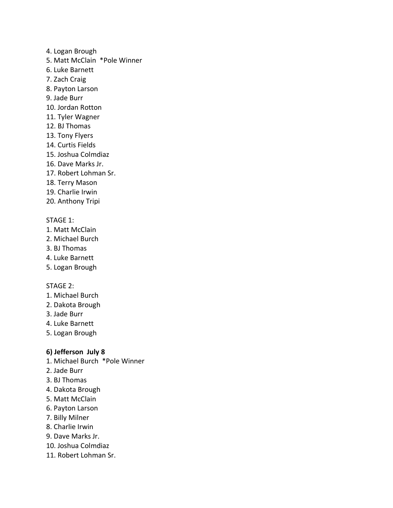- 4. Logan Brough
- 5. Matt McClain \*Pole Winner
- 6. Luke Barnett
- 7. Zach Craig
- 8. Payton Larson
- 9. Jade Burr
- 10. Jordan Rotton
- 11. Tyler Wagner
- 12. BJ Thomas
- 13. Tony Flyers
- 14. Curtis Fields
- 15. Joshua Colmdiaz
- 16. Dave Marks Jr.
- 17. Robert Lohman Sr.
- 18. Terry Mason
- 19. Charlie Irwin
- 20. Anthony Tripi

# STAGE 1:

- 1. Matt McClain
- 2. Michael Burch
- 3. BJ Thomas
- 4. Luke Barnett
- 5. Logan Brough

#### STAGE 2:

- 1. Michael Burch
- 2. Dakota Brough
- 3. Jade Burr
- 4. Luke Barnett
- 5. Logan Brough

# **6) Jefferson July 8**

- 1. Michael Burch \*Pole Winner
- 2. Jade Burr
- 3. BJ Thomas
- 4. Dakota Brough
- 5. Matt McClain
- 6. Payton Larson
- 7. Billy Milner
- 8. Charlie Irwin
- 9. Dave Marks Jr.
- 10. Joshua Colmdiaz
- 11. Robert Lohman Sr.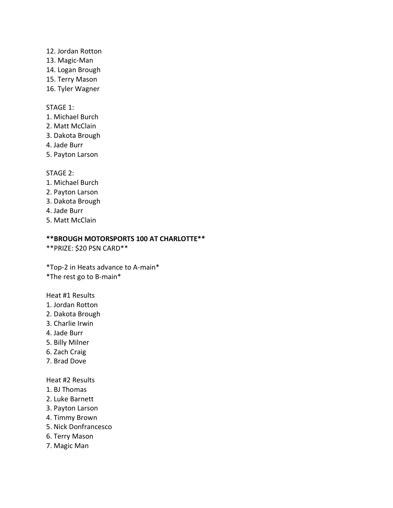- 12. Jordan Rotton
- 13. Magic-Man
- 14. Logan Brough
- 15. Terry Mason
- 16. Tyler Wagner

# STAGE 1:

- 1. Michael Burch
- 2. Matt McClain
- 3. Dakota Brough
- 4. Jade Burr
- 5. Payton Larson

# STAGE 2:

- 1. Michael Burch
- 2. Payton Larson
- 3. Dakota Brough
- 4. Jade Burr
- 5. Matt McClain

# **\*\*BROUGH MOTORSPORTS 100 AT CHARLOTTE\*\***

\*\*PRIZE: \$20 PSN CARD\*\*

\*Top-2 in Heats advance to A-main\* \*The rest go to B-main\*

Heat #1 Results

- 1. Jordan Rotton
- 2. Dakota Brough
- 3. Charlie Irwin
- 4. Jade Burr
- 5. Billy Milner
- 6. Zach Craig
- 7. Brad Dove

Heat #2 Results

- 1. BJ Thomas
- 2. Luke Barnett
- 3. Payton Larson
- 4. Timmy Brown
- 5. Nick Donfrancesco
- 6. Terry Mason
- 7. Magic Man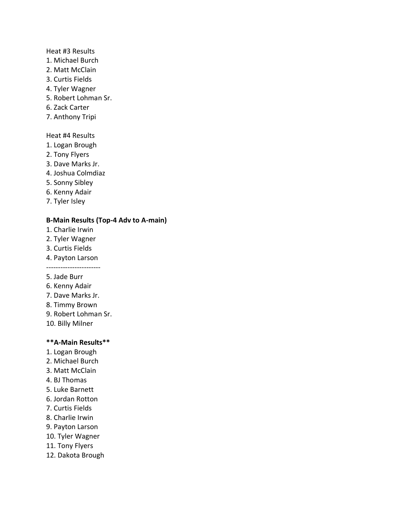#### Heat #3 Results

- 1. Michael Burch
- 2. Matt McClain
- 3. Curtis Fields
- 4. Tyler Wagner
- 5. Robert Lohman Sr.
- 6. Zack Carter
- 7. Anthony Tripi

# Heat #4 Results

- 1. Logan Brough
- 2. Tony Flyers
- 3. Dave Marks Jr.
- 4. Joshua Colmdiaz
- 5. Sonny Sibley
- 6. Kenny Adair
- 7. Tyler Isley

# **B-Main Results (Top-4 Adv to A-main)**

- 1. Charlie Irwin
- 2. Tyler Wagner
- 3. Curtis Fields
- 4. Payton Larson -----------------------
- 5. Jade Burr
- 6. Kenny Adair
- 7. Dave Marks Jr.
- 8. Timmy Brown
- 9. Robert Lohman Sr.
- 10. Billy Milner

#### **\*\*A-Main Results\*\***

- 1. Logan Brough
- 2. Michael Burch
- 3. Matt McClain
- 4. BJ Thomas
- 5. Luke Barnett
- 6. Jordan Rotton
- 7. Curtis Fields
- 8. Charlie Irwin
- 9. Payton Larson
- 10. Tyler Wagner
- 11. Tony Flyers
- 12. Dakota Brough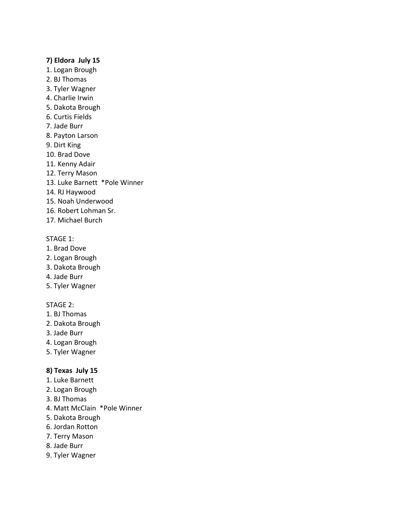# **7) Eldora July 15**

- 1. Logan Brough
- 2. BJ Thomas
- 3. Tyler Wagner
- 4. Charlie Irwin
- 5. Dakota Brough
- 6. Curtis Fields
- 7. Jade Burr
- 8. Payton Larson
- 9. Dirt King
- 10. Brad Dove
- 11. Kenny Adair
- 12. Terry Mason
- 13. Luke Barnett \*Pole Winner
- 14. RJ Haywood
- 15. Noah Underwood
- 16. Robert Lohman Sr.
- 17. Michael Burch

#### STAGE 1:

- 1. Brad Dove
- 2. Logan Brough
- 3. Dakota Brough
- 4. Jade Burr
- 5. Tyler Wagner

# STAGE 2:

- 1. BJ Thomas
- 2. Dakota Brough
- 3. Jade Burr
- 4. Logan Brough
- 5. Tyler Wagner

# **8) Texas July 15**

- 1. Luke Barnett
- 2. Logan Brough
- 3. BJ Thomas
- 4. Matt McClain \*Pole Winner
- 5. Dakota Brough
- 6. Jordan Rotton
- 7. Terry Mason
- 8. Jade Burr
- 9. Tyler Wagner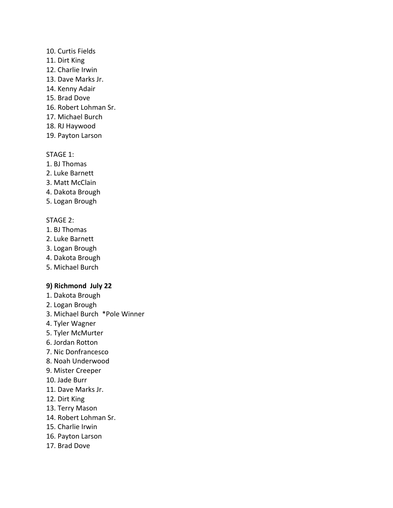#### 10. Curtis Fields

- 11. Dirt King
- 12. Charlie Irwin
- 13. Dave Marks Jr.
- 14. Kenny Adair
- 15. Brad Dove
- 16. Robert Lohman Sr.
- 17. Michael Burch
- 18. RJ Haywood
- 19. Payton Larson

# STAGE 1:

- 1. BJ Thomas
- 2. Luke Barnett
- 3. Matt McClain
- 4. Dakota Brough
- 5. Logan Brough

# STAGE 2:

- 1. BJ Thomas
- 2. Luke Barnett
- 3. Logan Brough
- 4. Dakota Brough
- 5. Michael Burch

# **9) Richmond July 22**

- 1. Dakota Brough
- 2. Logan Brough
- 3. Michael Burch \*Pole Winner
- 4. Tyler Wagner
- 5. Tyler McMurter
- 6. Jordan Rotton
- 7. Nic Donfrancesco
- 8. Noah Underwood
- 9. Mister Creeper
- 10. Jade Burr
- 11. Dave Marks Jr.
- 12. Dirt King
- 13. Terry Mason
- 14. Robert Lohman Sr.
- 15. Charlie Irwin
- 16. Payton Larson
- 17. Brad Dove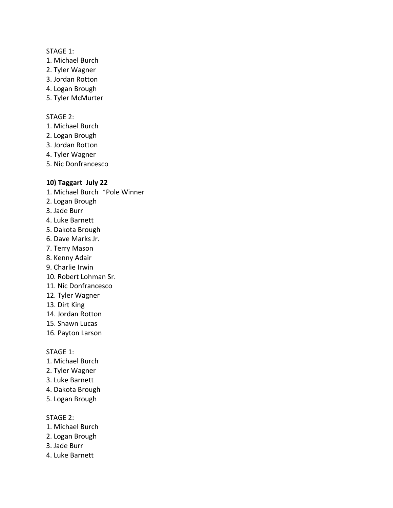#### STAGE 1:

- 1. Michael Burch
- 2. Tyler Wagner
- 3. Jordan Rotton
- 4. Logan Brough
- 5. Tyler McMurter

#### STAGE 2:

- 1. Michael Burch
- 2. Logan Brough
- 3. Jordan Rotton
- 4. Tyler Wagner
- 5. Nic Donfrancesco

# **10) Taggart July 22**

- 1. Michael Burch \*Pole Winner
- 2. Logan Brough
- 3. Jade Burr
- 4. Luke Barnett
- 5. Dakota Brough
- 6. Dave Marks Jr.
- 7. Terry Mason
- 8. Kenny Adair
- 9. Charlie Irwin
- 10. Robert Lohman Sr.
- 11. Nic Donfrancesco
- 12. Tyler Wagner
- 13. Dirt King
- 14. Jordan Rotton
- 15. Shawn Lucas
- 16. Payton Larson

#### STAGE 1:

- 1. Michael Burch
- 2. Tyler Wagner
- 3. Luke Barnett
- 4. Dakota Brough
- 5. Logan Brough

- 1. Michael Burch
- 2. Logan Brough
- 3. Jade Burr
- 4. Luke Barnett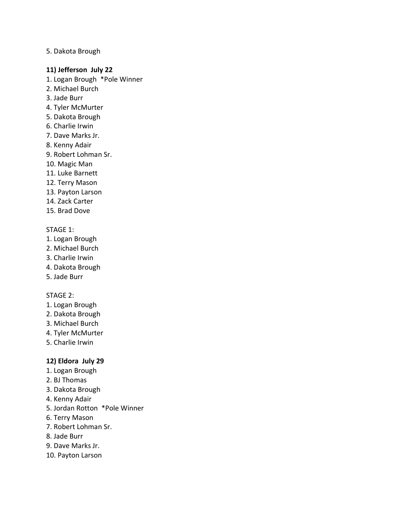# 5. Dakota Brough

### **11) Jefferson July 22**

- 1. Logan Brough \*Pole Winner
- 2. Michael Burch
- 3. Jade Burr
- 4. Tyler McMurter
- 5. Dakota Brough
- 6. Charlie Irwin
- 7. Dave Marks Jr.
- 8. Kenny Adair
- 9. Robert Lohman Sr.
- 10. Magic Man
- 11. Luke Barnett
- 12. Terry Mason
- 13. Payton Larson
- 14. Zack Carter
- 15. Brad Dove

# STAGE 1:

- 1. Logan Brough
- 2. Michael Burch
- 3. Charlie Irwin
- 4. Dakota Brough
- 5. Jade Burr

### STAGE 2:

- 1. Logan Brough
- 2. Dakota Brough
- 3. Michael Burch
- 4. Tyler McMurter
- 5. Charlie Irwin

# **12) Eldora July 29**

- 1. Logan Brough
- 2. BJ Thomas
- 3. Dakota Brough
- 4. Kenny Adair
- 5. Jordan Rotton \*Pole Winner
- 6. Terry Mason
- 7. Robert Lohman Sr.
- 8. Jade Burr
- 9. Dave Marks Jr.
- 10. Payton Larson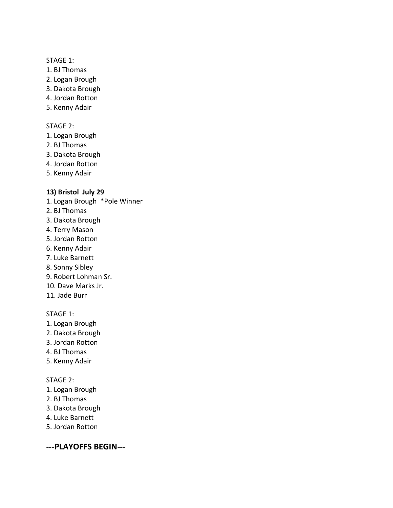# STAGE 1:

- 1. BJ Thomas
- 2. Logan Brough
- 3. Dakota Brough
- 4. Jordan Rotton
- 5. Kenny Adair

# STAGE 2:

- 1. Logan Brough
- 2. BJ Thomas
- 3. Dakota Brough
- 4. Jordan Rotton
- 5. Kenny Adair

# **13) Bristol July 29**

- 1. Logan Brough \*Pole Winner
- 2. BJ Thomas
- 3. Dakota Brough
- 4. Terry Mason
- 5. Jordan Rotton
- 6. Kenny Adair
- 7. Luke Barnett
- 8. Sonny Sibley
- 9. Robert Lohman Sr.
- 10. Dave Marks Jr.
- 11. Jade Burr

# STAGE 1:

- 1. Logan Brough
- 2. Dakota Brough
- 3. Jordan Rotton
- 4. BJ Thomas
- 5. Kenny Adair

#### STAGE 2:

- 1. Logan Brough
- 2. BJ Thomas
- 3. Dakota Brough
- 4. Luke Barnett
- 5. Jordan Rotton

**---PLAYOFFS BEGIN---**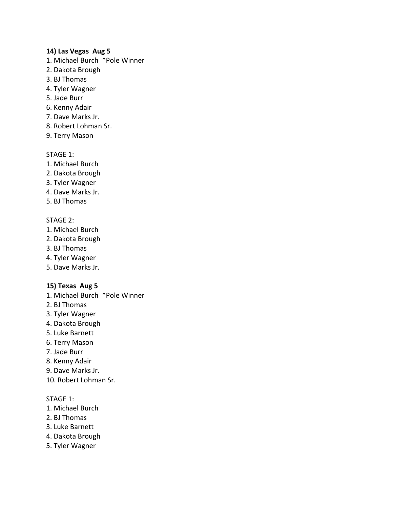# **14) Las Vegas Aug 5**

- 1. Michael Burch \*Pole Winner
- 2. Dakota Brough
- 3. BJ Thomas
- 4. Tyler Wagner
- 5. Jade Burr
- 6. Kenny Adair
- 7. Dave Marks Jr.
- 8. Robert Lohman Sr.
- 9. Terry Mason

# STAGE 1:

- 1. Michael Burch
- 2. Dakota Brough
- 3. Tyler Wagner
- 4. Dave Marks Jr.
- 5. BJ Thomas

# STAGE 2:

- 1. Michael Burch
- 2. Dakota Brough
- 3. BJ Thomas
- 4. Tyler Wagner
- 5. Dave Marks Jr.

# **15) Texas Aug 5**

- 1. Michael Burch \*Pole Winner
- 2. BJ Thomas
- 3. Tyler Wagner
- 4. Dakota Brough
- 5. Luke Barnett
- 6. Terry Mason
- 7. Jade Burr
- 8. Kenny Adair
- 9. Dave Marks Jr.
- 10. Robert Lohman Sr.

- 1. Michael Burch
- 2. BJ Thomas
- 3. Luke Barnett
- 4. Dakota Brough
- 5. Tyler Wagner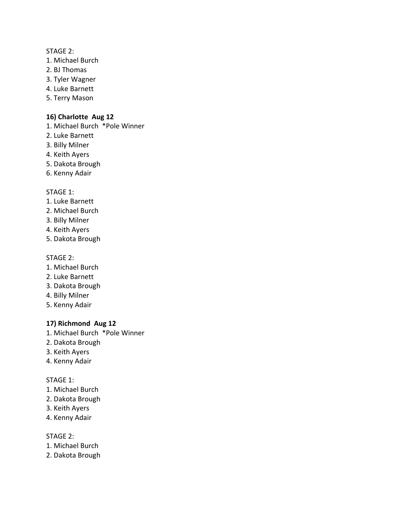### STAGE 2:

- 1. Michael Burch
- 2. BJ Thomas
- 3. Tyler Wagner
- 4. Luke Barnett
- 5. Terry Mason

# **16) Charlotte Aug 12**

- 1. Michael Burch \*Pole Winner
- 2. Luke Barnett
- 3. Billy Milner
- 4. Keith Ayers
- 5. Dakota Brough
- 6. Kenny Adair

# STAGE 1:

- 1. Luke Barnett
- 2. Michael Burch
- 3. Billy Milner
- 4. Keith Ayers
- 5. Dakota Brough

#### STAGE 2:

- 1. Michael Burch
- 2. Luke Barnett
- 3. Dakota Brough
- 4. Billy Milner
- 5. Kenny Adair

# **17) Richmond Aug 12**

- 1. Michael Burch \*Pole Winner
- 2. Dakota Brough
- 3. Keith Ayers
- 4. Kenny Adair

#### STAGE 1:

- 1. Michael Burch
- 2. Dakota Brough
- 3. Keith Ayers
- 4. Kenny Adair

- 1. Michael Burch
- 2. Dakota Brough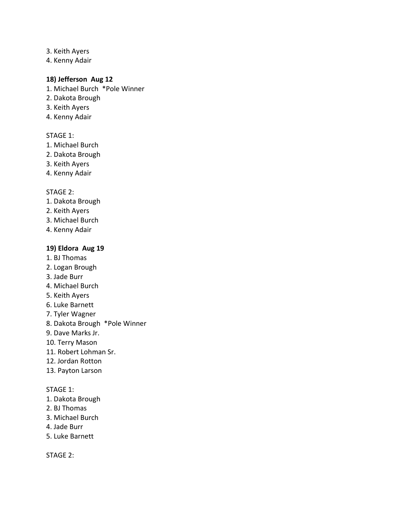- 3. Keith Ayers
- 4. Kenny Adair

# **18) Jefferson Aug 12**

- 1. Michael Burch \*Pole Winner
- 2. Dakota Brough
- 3. Keith Ayers
- 4. Kenny Adair

# STAGE 1:

- 1. Michael Burch
- 2. Dakota Brough
- 3. Keith Ayers
- 4. Kenny Adair

# STAGE 2:

- 1. Dakota Brough
- 2. Keith Ayers
- 3. Michael Burch
- 4. Kenny Adair

# **19) Eldora Aug 19**

- 1. BJ Thomas
- 2. Logan Brough
- 3. Jade Burr
- 4. Michael Burch
- 5. Keith Ayers
- 6. Luke Barnett
- 7. Tyler Wagner
- 8. Dakota Brough \*Pole Winner
- 9. Dave Marks Jr.
- 10. Terry Mason
- 11. Robert Lohman Sr.
- 12. Jordan Rotton
- 13. Payton Larson

#### STAGE 1:

- 1. Dakota Brough
- 2. BJ Thomas
- 3. Michael Burch
- 4. Jade Burr
- 5. Luke Barnett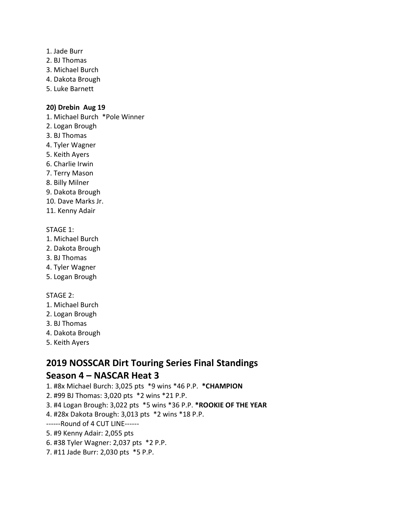- 1. Jade Burr
- 2. BJ Thomas
- 3. Michael Burch
- 4. Dakota Brough
- 5. Luke Barnett

# **20) Drebin Aug 19**

- 1. Michael Burch \*Pole Winner
- 2. Logan Brough
- 3. BJ Thomas
- 4. Tyler Wagner
- 5. Keith Ayers
- 6. Charlie Irwin
- 7. Terry Mason
- 8. Billy Milner
- 9. Dakota Brough
- 10. Dave Marks Jr.
- 11. Kenny Adair

# STAGE 1:

- 1. Michael Burch
- 2. Dakota Brough
- 3. BJ Thomas
- 4. Tyler Wagner
- 5. Logan Brough

# STAGE 2:

- 1. Michael Burch
- 2. Logan Brough
- 3. BJ Thomas
- 4. Dakota Brough
- 5. Keith Ayers

# **2019 NOSSCAR Dirt Touring Series Final Standings Season 4 – NASCAR Heat 3**

- 1. #8x Michael Burch: 3,025 pts \*9 wins \*46 P.P. **\*CHAMPION**
- 2. #99 BJ Thomas: 3,020 pts \*2 wins \*21 P.P.
- 3. #4 Logan Brough: 3,022 pts \*5 wins \*36 P.P. **\*ROOKIE OF THE YEAR**
- 4. #28x Dakota Brough: 3,013 pts \*2 wins \*18 P.P.
- ------Round of 4 CUT LINE------
- 5. #9 Kenny Adair: 2,055 pts
- 6. #38 Tyler Wagner: 2,037 pts \*2 P.P.
- 7. #11 Jade Burr: 2,030 pts \*5 P.P.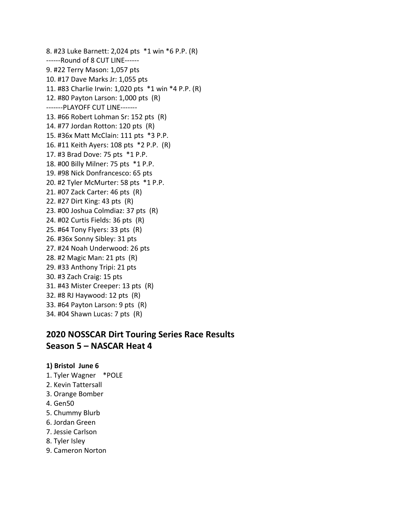8. #23 Luke Barnett: 2,024 pts \*1 win \*6 P.P. (R) ------Round of 8 CUT LINE------ 9. #22 Terry Mason: 1,057 pts 10. #17 Dave Marks Jr: 1,055 pts 11. #83 Charlie Irwin: 1,020 pts \*1 win \*4 P.P. (R) 12. #80 Payton Larson: 1,000 pts (R) -------PLAYOFF CUT LINE------- 13. #66 Robert Lohman Sr: 152 pts (R) 14. #77 Jordan Rotton: 120 pts (R) 15. #36x Matt McClain: 111 pts \*3 P.P. 16. #11 Keith Ayers: 108 pts \*2 P.P. (R) 17. #3 Brad Dove: 75 pts \*1 P.P. 18. #00 Billy Milner: 75 pts \*1 P.P. 19. #98 Nick Donfrancesco: 65 pts 20. #2 Tyler McMurter: 58 pts \*1 P.P. 21. #07 Zack Carter: 46 pts (R) 22. #27 Dirt King: 43 pts (R) 23. #00 Joshua Colmdiaz: 37 pts (R) 24. #02 Curtis Fields: 36 pts (R) 25. #64 Tony Flyers: 33 pts (R) 26. #36x Sonny Sibley: 31 pts 27. #24 Noah Underwood: 26 pts 28. #2 Magic Man: 21 pts (R) 29. #33 Anthony Tripi: 21 pts 30. #3 Zach Craig: 15 pts 31. #43 Mister Creeper: 13 pts (R) 32. #8 RJ Haywood: 12 pts (R) 33. #64 Payton Larson: 9 pts (R) 34. #04 Shawn Lucas: 7 pts (R)

# **2020 NOSSCAR Dirt Touring Series Race Results Season 5 – NASCAR Heat 4**

# **1) Bristol June 6**

- 1. Tyler Wagner \*POLE
- 2. Kevin Tattersall
- 3. Orange Bomber
- 4. Gen50
- 5. Chummy Blurb
- 6. Jordan Green
- 7. Jessie Carlson
- 8. Tyler Isley
- 9. Cameron Norton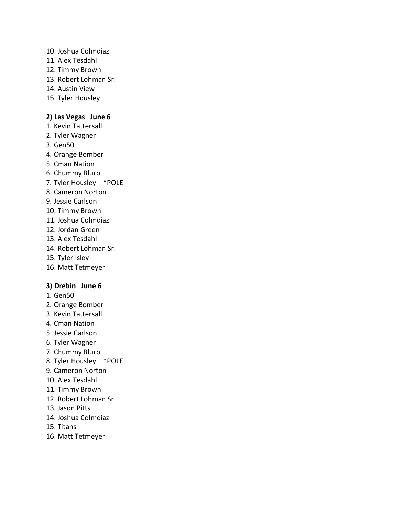- 10. Joshua Colmdiaz
- 11. Alex Tesdahl
- 12. Timmy Brown
- 13. Robert Lohman Sr.
- 14. Austin View
- 15. Tyler Housley

# **2) Las Vegas June 6**

- 1. Kevin Tattersall
- 2. Tyler Wagner
- 3. Gen50
- 4. Orange Bomber
- 5. Cman Nation
- 6. Chummy Blurb
- 7. Tyler Housley \*POLE
- 8. Cameron Norton
- 9. Jessie Carlson
- 10. Timmy Brown
- 11. Joshua Colmdiaz
- 12. Jordan Green
- 13. Alex Tesdahl
- 14. Robert Lohman Sr.
- 15. Tyler Isley
- 16. Matt Tetmeyer

#### **3) Drebin June 6**

- 1. Gen50
- 2. Orange Bomber
- 3. Kevin Tattersall
- 4. Cman Nation
- 5. Jessie Carlson
- 6. Tyler Wagner
- 7. Chummy Blurb
- 8. Tyler Housley \*POLE
- 9. Cameron Norton
- 10. Alex Tesdahl
- 11. Timmy Brown
- 12. Robert Lohman Sr.
- 13. Jason Pitts
- 14. Joshua Colmdiaz
- 15. Titans
- 16. Matt Tetmeyer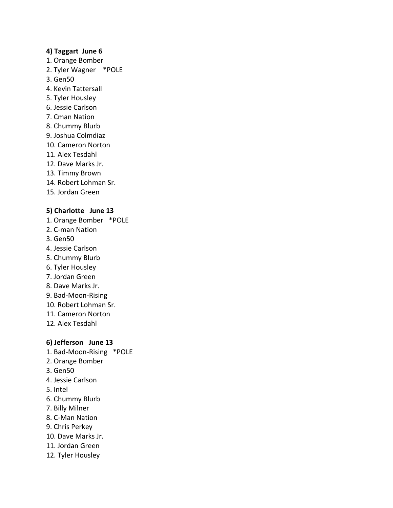### **4) Taggart June 6**

- 1. Orange Bomber
- 2. Tyler Wagner \*POLE
- 3. Gen50
- 4. Kevin Tattersall
- 5. Tyler Housley
- 6. Jessie Carlson
- 7. Cman Nation
- 8. Chummy Blurb
- 9. Joshua Colmdiaz
- 10. Cameron Norton
- 11. Alex Tesdahl
- 12. Dave Marks Jr.
- 13. Timmy Brown
- 14. Robert Lohman Sr.
- 15. Jordan Green

# **5) Charlotte June 13**

- 1. Orange Bomber \*POLE
- 2. C-man Nation
- 3. Gen50
- 4. Jessie Carlson
- 5. Chummy Blurb
- 6. Tyler Housley
- 7. Jordan Green
- 8. Dave Marks Jr.
- 9. Bad-Moon-Rising
- 10. Robert Lohman Sr.
- 11. Cameron Norton
- 12. Alex Tesdahl

# **6) Jefferson June 13**

- 1. Bad-Moon-Rising \*POLE
- 2. Orange Bomber
- 3. Gen50
- 4. Jessie Carlson
- 5. Intel
- 6. Chummy Blurb
- 7. Billy Milner
- 8. C-Man Nation
- 9. Chris Perkey
- 10. Dave Marks Jr.
- 11. Jordan Green
- 12. Tyler Housley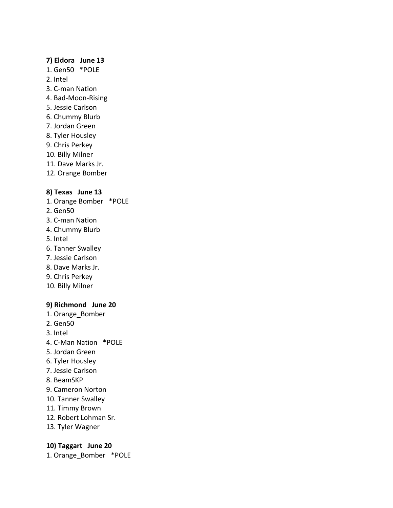#### **7) Eldora June 13**

- 1. Gen50 \*POLE
- 2. Intel
- 3. C-man Nation
- 4. Bad-Moon-Rising
- 5. Jessie Carlson
- 6. Chummy Blurb
- 7. Jordan Green
- 8. Tyler Housley
- 9. Chris Perkey
- 10. Billy Milner
- 11. Dave Marks Jr.
- 12. Orange Bomber

### **8) Texas June 13**

- 1. Orange Bomber \*POLE
- 2. Gen50
- 3. C-man Nation
- 4. Chummy Blurb
- 5. Intel
- 6. Tanner Swalley
- 7. Jessie Carlson
- 8. Dave Marks Jr.
- 9. Chris Perkey
- 10. Billy Milner

#### **9) Richmond June 20**

- 1. Orange\_Bomber
- 2. Gen50
- 3. Intel
- 4. C-Man Nation \*POLE
- 5. Jordan Green
- 6. Tyler Housley
- 7. Jessie Carlson
- 8. BeamSKP
- 9. Cameron Norton
- 10. Tanner Swalley
- 11. Timmy Brown
- 12. Robert Lohman Sr.
- 13. Tyler Wagner

### **10) Taggart June 20**

1. Orange\_Bomber \*POLE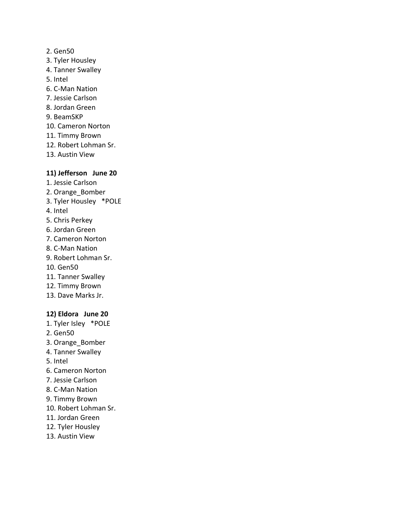# 2. Gen50

- 3. Tyler Housley
- 4. Tanner Swalley
- 5. Intel
- 6. C-Man Nation
- 7. Jessie Carlson
- 8. Jordan Green
- 9. BeamSKP
- 10. Cameron Norton
- 11. Timmy Brown
- 12. Robert Lohman Sr.
- 13. Austin View

# **11) Jefferson June 20**

- 1. Jessie Carlson
- 2. Orange\_Bomber
- 3. Tyler Housley \*POLE
- 4. Intel
- 5. Chris Perkey
- 6. Jordan Green
- 7. Cameron Norton
- 8. C-Man Nation
- 9. Robert Lohman Sr.
- 10. Gen50
- 11. Tanner Swalley
- 12. Timmy Brown
- 13. Dave Marks Jr.

# **12) Eldora June 20**

- 1. Tyler Isley \*POLE
- 2. Gen50
- 3. Orange\_Bomber
- 4. Tanner Swalley
- 5. Intel
- 6. Cameron Norton
- 7. Jessie Carlson
- 8. C-Man Nation
- 9. Timmy Brown
- 10. Robert Lohman Sr.
- 11. Jordan Green
- 12. Tyler Housley
- 13. Austin View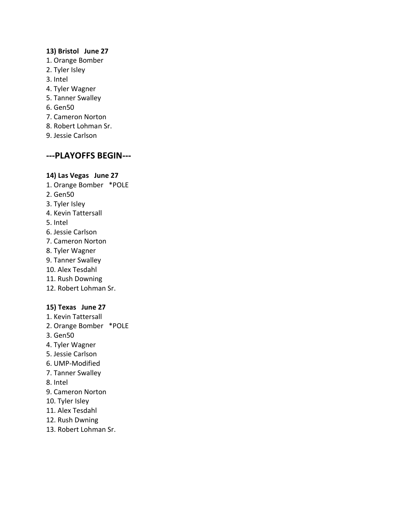# **13) Bristol June 27**

- 1. Orange Bomber
- 2. Tyler Isley
- 3. Intel
- 4. Tyler Wagner
- 5. Tanner Swalley
- 6. Gen50
- 7. Cameron Norton
- 8. Robert Lohman Sr.
- 9. Jessie Carlson

# **---PLAYOFFS BEGIN---**

#### **14) Las Vegas June 27**

- 1. Orange Bomber \*POLE
- 2. Gen50
- 3. Tyler Isley
- 4. Kevin Tattersall
- 5. Intel
- 6. Jessie Carlson
- 7. Cameron Norton
- 8. Tyler Wagner
- 9. Tanner Swalley
- 10. Alex Tesdahl
- 11. Rush Downing
- 12. Robert Lohman Sr.

# **15) Texas June 27**

- 1. Kevin Tattersall
- 2. Orange Bomber \*POLE
- 3. Gen50
- 4. Tyler Wagner
- 5. Jessie Carlson
- 6. UMP-Modified
- 7. Tanner Swalley
- 8. Intel
- 9. Cameron Norton
- 10. Tyler Isley
- 11. Alex Tesdahl
- 12. Rush Dwning
- 13. Robert Lohman Sr.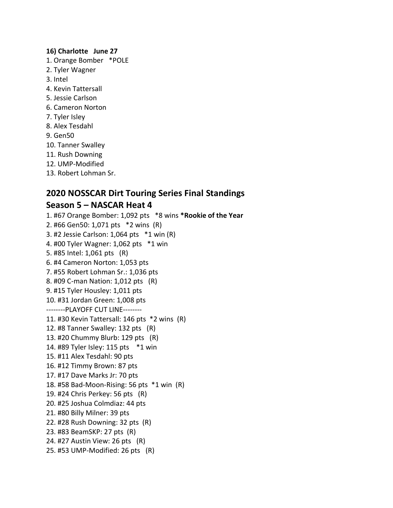### **16) Charlotte June 27**

- 1. Orange Bomber \*POLE
- 2. Tyler Wagner
- 3. Intel
- 4. Kevin Tattersall
- 5. Jessie Carlson
- 6. Cameron Norton
- 7. Tyler Isley
- 8. Alex Tesdahl
- 9. Gen50
- 10. Tanner Swalley
- 11. Rush Downing
- 12. UMP-Modified
- 13. Robert Lohman Sr.

# **2020 NOSSCAR Dirt Touring Series Final Standings Season 5 – NASCAR Heat 4**

1. #67 Orange Bomber: 1,092 pts \*8 wins **\*Rookie of the Year** 2. #66 Gen50: 1,071 pts \*2 wins (R) 3. #2 Jessie Carlson: 1,064 pts \*1 win (R) 4. #00 Tyler Wagner: 1,062 pts \*1 win 5. #85 Intel: 1,061 pts (R) 6. #4 Cameron Norton: 1,053 pts 7. #55 Robert Lohman Sr.: 1,036 pts 8. #09 C-man Nation: 1,012 pts (R) 9. #15 Tyler Housley: 1,011 pts 10. #31 Jordan Green: 1,008 pts --------PLAYOFF CUT LINE-------- 11. #30 Kevin Tattersall: 146 pts \*2 wins (R) 12. #8 Tanner Swalley: 132 pts (R) 13. #20 Chummy Blurb: 129 pts (R) 14. #89 Tyler Isley: 115 pts \*1 win 15. #11 Alex Tesdahl: 90 pts 16. #12 Timmy Brown: 87 pts 17. #17 Dave Marks Jr: 70 pts 18. #58 Bad-Moon-Rising: 56 pts \*1 win (R) 19. #24 Chris Perkey: 56 pts (R) 20. #25 Joshua Colmdiaz: 44 pts 21. #80 Billy Milner: 39 pts 22. #28 Rush Downing: 32 pts (R) 23. #83 BeamSKP: 27 pts (R) 24. #27 Austin View: 26 pts (R) 25. #53 UMP-Modified: 26 pts (R)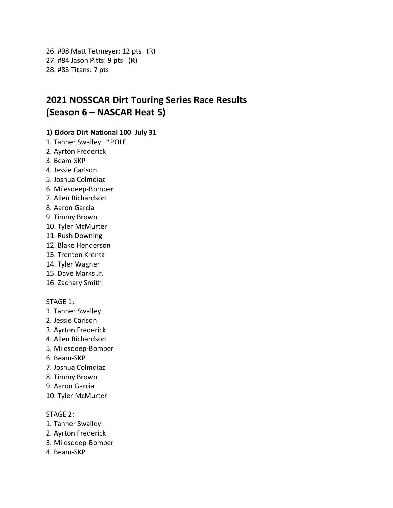26. #98 Matt Tetmeyer: 12 pts (R) 27. #84 Jason Pitts: 9 pts (R) 28. #83 Titans: 7 pts

# **2021 NOSSCAR Dirt Touring Series Race Results (Season 6 – NASCAR Heat 5)**

# **1) Eldora Dirt National 100 July 31**

- 1. Tanner Swalley \*POLE
- 2. Ayrton Frederick
- 3. Beam-SKP
- 4. Jessie Carlson
- 5. Joshua Colmdiaz
- 6. Milesdeep-Bomber
- 7. Allen Richardson
- 8. Aaron Garcia
- 9. Timmy Brown
- 10. Tyler McMurter
- 11. Rush Downing
- 12. Blake Henderson
- 13. Trenton Krentz
- 14. Tyler Wagner
- 15. Dave Marks Jr.
- 16. Zachary Smith

#### STAGE 1:

- 1. Tanner Swalley
- 2. Jessie Carlson
- 3. Ayrton Frederick
- 4. Allen Richardson
- 5. Milesdeep-Bomber
- 6. Beam-SKP
- 7. Joshua Colmdiaz
- 8. Timmy Brown
- 9. Aaron Garcia
- 10. Tyler McMurter

- 1. Tanner Swalley
- 2. Ayrton Frederick
- 3. Milesdeep-Bomber
- 4. Beam-SKP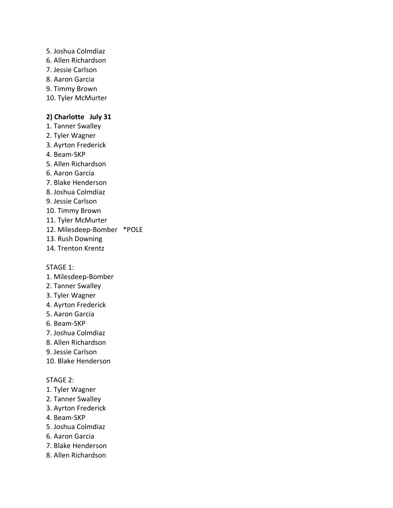5. Joshua Colmdiaz 6. Allen Richardson 7. Jessie Carlson 8. Aaron Garcia 9. Timmy Brown 10. Tyler McMurter **2) Charlotte July 31** 1. Tanner Swalley 2. Tyler Wagner 3. Ayrton Frederick 4. Beam-SKP 5. Allen Richardson 6. Aaron Garcia 7. Blake Henderson 8. Joshua Colmdiaz 9. Jessie Carlson 10. Timmy Brown 11. Tyler McMurter

- 12. Milesdeep-Bomber \*POLE
- 13. Rush Downing
- 14. Trenton Krentz

STAGE 1:

- 1. Milesdeep-Bomber
- 2. Tanner Swalley
- 3. Tyler Wagner
- 4. Ayrton Frederick
- 5. Aaron Garcia
- 6. Beam-SKP
- 7. Joshua Colmdiaz
- 8. Allen Richardson
- 9. Jessie Carlson
- 10. Blake Henderson

- 1. Tyler Wagner
- 2. Tanner Swalley
- 3. Ayrton Frederick
- 4. Beam-SKP
- 5. Joshua Colmdiaz
- 6. Aaron Garcia
- 7. Blake Henderson
- 8. Allen Richardson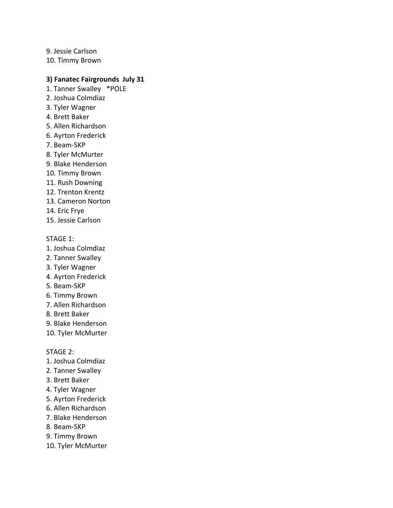9. Jessie Carlson 10. Timmy Brown

# **3) Fanatec Fairgrounds July 31**

- 1. Tanner Swalley \*POLE
- 2. Joshua Colmdiaz
- 3. Tyler Wagner
- 4. Brett Baker
- 5. Allen Richardson
- 6. Ayrton Frederick
- 7. Beam-SKP
- 8. Tyler McMurter
- 9. Blake Henderson
- 10. Timmy Brown
- 11. Rush Downing
- 12. Trenton Krentz
- 13. Cameron Norton
- 14. Eric Frye
- 15. Jessie Carlson

#### STAGE 1:

- 1. Joshua Colmdiaz
- 2. Tanner Swalley
- 3. Tyler Wagner
- 4. Ayrton Frederick
- 5. Beam-SKP
- 6. Timmy Brown
- 7. Allen Richardson
- 8. Brett Baker
- 9. Blake Henderson

10. Tyler McMurter

- 1. Joshua Colmdiaz
- 2. Tanner Swalley
- 3. Brett Baker
- 4. Tyler Wagner
- 5. Ayrton Frederick
- 6. Allen Richardson
- 7. Blake Henderson
- 8. Beam-SKP
- 9. Timmy Brown
- 10. Tyler McMurter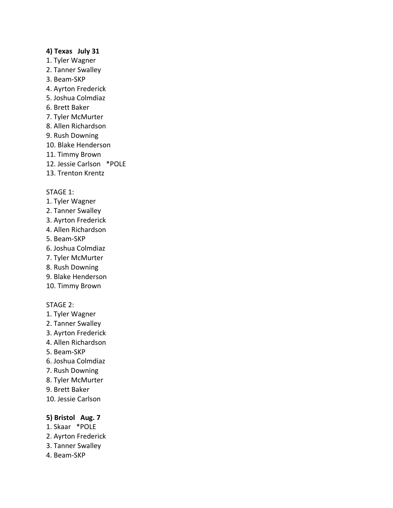# **4) Texas July 31**

- 1. Tyler Wagner
- 2. Tanner Swalley
- 3. Beam-SKP
- 4. Ayrton Frederick
- 5. Joshua Colmdiaz
- 6. Brett Baker
- 7. Tyler McMurter
- 8. Allen Richardson
- 9. Rush Downing
- 10. Blake Henderson
- 11. Timmy Brown
- 12. Jessie Carlson \*POLE
- 13. Trenton Krentz

#### STAGE 1:

- 1. Tyler Wagner
- 2. Tanner Swalley
- 3. Ayrton Frederick
- 4. Allen Richardson
- 5. Beam-SKP
- 6. Joshua Colmdiaz
- 7. Tyler McMurter
- 8. Rush Downing
- 9. Blake Henderson
- 10. Timmy Brown

## STAGE 2:

- 1. Tyler Wagner
- 2. Tanner Swalley
- 3. Ayrton Frederick
- 4. Allen Richardson
- 5. Beam-SKP
- 6. Joshua Colmdiaz
- 7. Rush Downing
- 8. Tyler McMurter
- 9. Brett Baker
- 10. Jessie Carlson

# **5) Bristol Aug. 7**

- 1. Skaar \*POLE
- 2. Ayrton Frederick
- 3. Tanner Swalley
- 4. Beam-SKP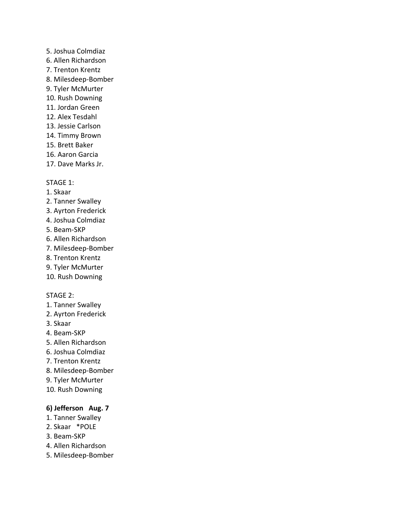# 5. Joshua Colmdiaz

- 6. Allen Richardson
- 7. Trenton Krentz
- 8. Milesdeep-Bomber
- 9. Tyler McMurter
- 10. Rush Downing
- 11. Jordan Green
- 12. Alex Tesdahl
- 13. Jessie Carlson
- 14. Timmy Brown
- 15. Brett Baker
- 16. Aaron Garcia
- 17. Dave Marks Jr.

# STAGE 1:

- 1. Skaar
- 2. Tanner Swalley
- 3. Ayrton Frederick
- 4. Joshua Colmdiaz
- 5. Beam-SKP
- 6. Allen Richardson
- 7. Milesdeep-Bomber
- 8. Trenton Krentz
- 9. Tyler McMurter
- 10. Rush Downing

# STAGE 2:

- 1. Tanner Swalley
- 2. Ayrton Frederick
- 3. Skaar
- 4. Beam-SKP
- 5. Allen Richardson
- 6. Joshua Colmdiaz
- 7. Trenton Krentz
- 8. Milesdeep-Bomber
- 9. Tyler McMurter
- 10. Rush Downing

# **6) Jefferson Aug. 7**

- 1. Tanner Swalley
- 2. Skaar \*POLE
- 3. Beam-SKP
- 4. Allen Richardson
- 5. Milesdeep-Bomber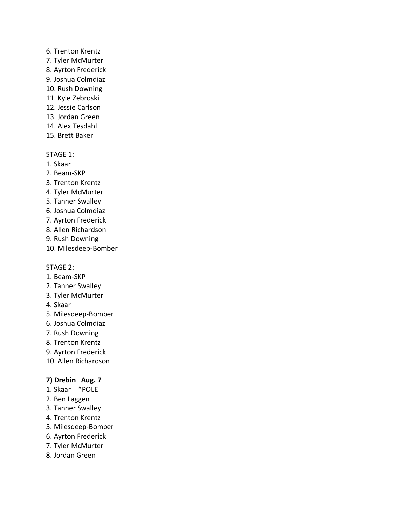# 6. Trenton Krentz

- 7. Tyler McMurter
- 8. Ayrton Frederick
- 9. Joshua Colmdiaz
- 10. Rush Downing
- 11. Kyle Zebroski
- 12. Jessie Carlson
- 13. Jordan Green
- 14. Alex Tesdahl
- 15. Brett Baker

# STAGE 1:

- 1. Skaar
- 2. Beam-SKP
- 3. Trenton Krentz
- 4. Tyler McMurter
- 5. Tanner Swalley
- 6. Joshua Colmdiaz
- 7. Ayrton Frederick
- 8. Allen Richardson
- 9. Rush Downing
- 10. Milesdeep-Bomber

# STAGE 2:

- 1. Beam-SKP
- 2. Tanner Swalley
- 3. Tyler McMurter
- 4. Skaar
- 5. Milesdeep-Bomber
- 6. Joshua Colmdiaz
- 7. Rush Downing
- 8. Trenton Krentz
- 9. Ayrton Frederick
- 10. Allen Richardson

# **7) Drebin Aug. 7**

- 1. Skaar \*POLE
- 2. Ben Laggen
- 3. Tanner Swalley
- 4. Trenton Krentz
- 5. Milesdeep-Bomber
- 6. Ayrton Frederick
- 7. Tyler McMurter
- 8. Jordan Green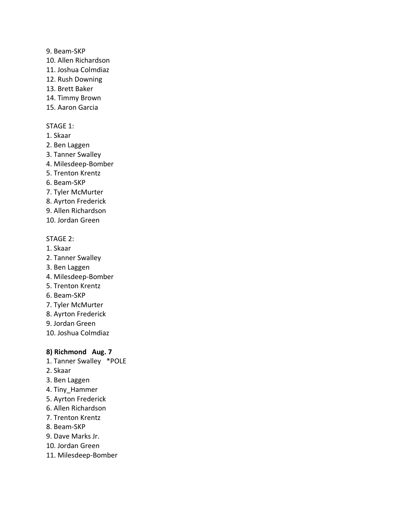### 9. Beam-SKP

- 10. Allen Richardson
- 11. Joshua Colmdiaz
- 12. Rush Downing
- 13. Brett Baker
- 14. Timmy Brown
- 15. Aaron Garcia

### STAGE 1:

- 1. Skaar
- 2. Ben Laggen
- 3. Tanner Swalley
- 4. Milesdeep-Bomber
- 5. Trenton Krentz
- 6. Beam-SKP
- 7. Tyler McMurter
- 8. Ayrton Frederick
- 9. Allen Richardson
- 10. Jordan Green

# STAGE 2:

- 1. Skaar
- 2. Tanner Swalley
- 3. Ben Laggen
- 4. Milesdeep-Bomber
- 5. Trenton Krentz
- 6. Beam-SKP
- 7. Tyler McMurter
- 8. Ayrton Frederick
- 9. Jordan Green
- 10. Joshua Colmdiaz

# **8) Richmond Aug. 7**

- 1. Tanner Swalley \*POLE
- 2. Skaar
- 3. Ben Laggen
- 4. Tiny\_Hammer
- 5. Ayrton Frederick
- 6. Allen Richardson
- 7. Trenton Krentz
- 8. Beam-SKP
- 9. Dave Marks Jr.
- 10. Jordan Green
- 11. Milesdeep-Bomber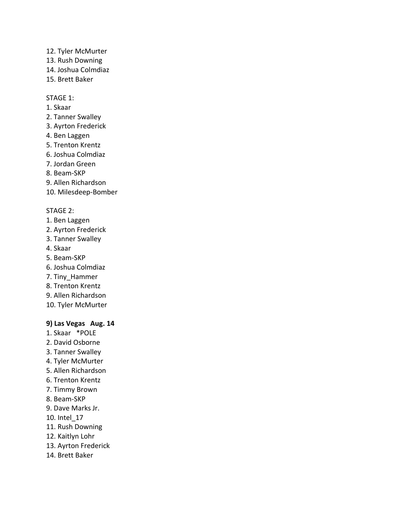12. Tyler McMurter

- 13. Rush Downing
- 14. Joshua Colmdiaz
- 15. Brett Baker

# STAGE 1:

- 1. Skaar
- 2. Tanner Swalley
- 3. Ayrton Frederick
- 4. Ben Laggen
- 5. Trenton Krentz
- 6. Joshua Colmdiaz
- 7. Jordan Green
- 8. Beam-SKP
- 9. Allen Richardson
- 10. Milesdeep-Bomber

# STAGE 2:

- 1. Ben Laggen
- 2. Ayrton Frederick
- 3. Tanner Swalley
- 4. Skaar
- 5. Beam-SKP
- 6. Joshua Colmdiaz
- 7. Tiny\_Hammer
- 8. Trenton Krentz
- 9. Allen Richardson
- 10. Tyler McMurter

# **9) Las Vegas Aug. 14**

- 1. Skaar \*POLE
- 2. David Osborne
- 3. Tanner Swalley
- 4. Tyler McMurter
- 5. Allen Richardson
- 6. Trenton Krentz
- 7. Timmy Brown
- 8. Beam-SKP
- 9. Dave Marks Jr.
- 10. Intel\_17
- 11. Rush Downing
- 12. Kaitlyn Lohr
- 13. Ayrton Frederick
- 14. Brett Baker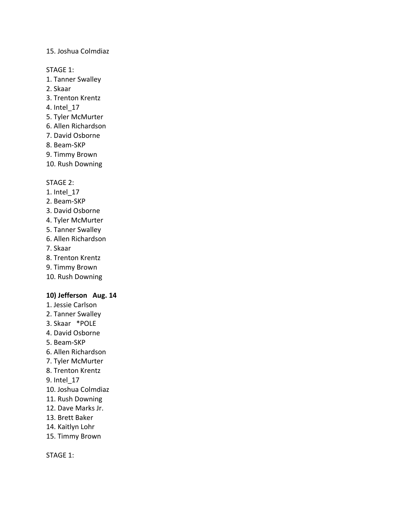# 15. Joshua Colmdiaz

STAGE 1:

- 1. Tanner Swalley
- 2. Skaar
- 3. Trenton Krentz
- 4. Intel\_17
- 5. Tyler McMurter
- 6. Allen Richardson
- 7. David Osborne
- 8. Beam-SKP
- 9. Timmy Brown
- 10. Rush Downing

#### STAGE 2:

- 1. Intel\_17
- 2. Beam-SKP
- 3. David Osborne
- 4. Tyler McMurter
- 5. Tanner Swalley
- 6. Allen Richardson
- 7. Skaar
- 8. Trenton Krentz
- 9. Timmy Brown
- 10. Rush Downing

#### **10) Jefferson Aug. 14**

- 1. Jessie Carlson
- 2. Tanner Swalley
- 3. Skaar \*POLE
- 4. David Osborne
- 5. Beam-SKP
- 6. Allen Richardson
- 7. Tyler McMurter
- 8. Trenton Krentz
- 9. Intel\_17
- 10. Joshua Colmdiaz
- 11. Rush Downing
- 12. Dave Marks Jr.
- 13. Brett Baker
- 14. Kaitlyn Lohr
- 15. Timmy Brown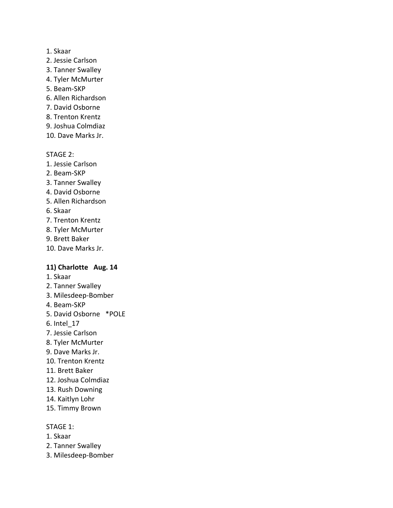#### 1. Skaar

- 2. Jessie Carlson
- 3. Tanner Swalley
- 4. Tyler McMurter
- 5. Beam-SKP
- 6. Allen Richardson
- 7. David Osborne
- 8. Trenton Krentz
- 9. Joshua Colmdiaz
- 10. Dave Marks Jr.

# STAGE 2:

- 1. Jessie Carlson
- 2. Beam-SKP
- 3. Tanner Swalley
- 4. David Osborne
- 5. Allen Richardson
- 6. Skaar
- 7. Trenton Krentz
- 8. Tyler McMurter
- 9. Brett Baker
- 10. Dave Marks Jr.

# **11) Charlotte Aug. 14**

- 1. Skaar
- 2. Tanner Swalley
- 3. Milesdeep-Bomber
- 4. Beam-SKP
- 5. David Osborne \*POLE
- 6. Intel\_17
- 7. Jessie Carlson
- 8. Tyler McMurter
- 9. Dave Marks Jr.
- 10. Trenton Krentz
- 11. Brett Baker
- 12. Joshua Colmdiaz
- 13. Rush Downing
- 14. Kaitlyn Lohr
- 15. Timmy Brown

- 1. Skaar
- 2. Tanner Swalley
- 3. Milesdeep-Bomber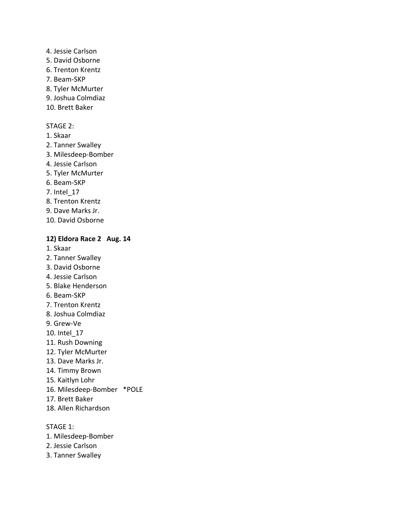#### 4. Jessie Carlson

- 5. David Osborne
- 6. Trenton Krentz
- 7. Beam-SKP
- 8. Tyler McMurter
- 9. Joshua Colmdiaz
- 10. Brett Baker

# STAGE 2:

- 1. Skaar
- 2. Tanner Swalley
- 3. Milesdeep-Bomber
- 4. Jessie Carlson
- 5. Tyler McMurter
- 6. Beam-SKP
- 7. Intel\_17
- 8. Trenton Krentz
- 9. Dave Marks Jr.
- 10. David Osborne

# **12) Eldora Race 2 Aug. 14**

- 1. Skaar
- 2. Tanner Swalley
- 3. David Osborne
- 4. Jessie Carlson
- 5. Blake Henderson
- 6. Beam-SKP
- 7. Trenton Krentz
- 8. Joshua Colmdiaz
- 9. Grew-Ve
- 10. Intel\_17
- 11. Rush Downing
- 12. Tyler McMurter
- 13. Dave Marks Jr.
- 14. Timmy Brown
- 15. Kaitlyn Lohr
- 16. Milesdeep-Bomber \*POLE
- 17. Brett Baker
- 18. Allen Richardson

- 1. Milesdeep-Bomber
- 2. Jessie Carlson
- 3. Tanner Swalley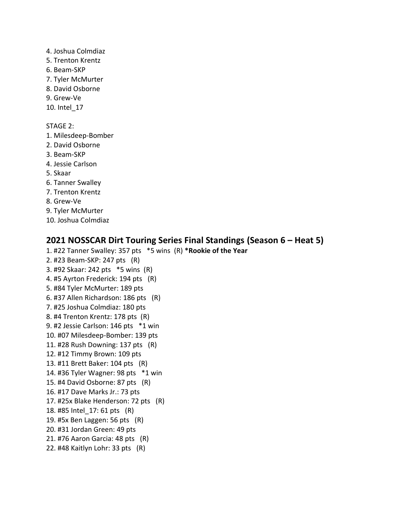4. Joshua Colmdiaz

- 5. Trenton Krentz
- 6. Beam-SKP
- 7. Tyler McMurter
- 8. David Osborne
- 9. Grew-Ve
- 10. Intel\_17

STAGE 2:

- 1. Milesdeep-Bomber
- 2. David Osborne
- 3. Beam-SKP
- 4. Jessie Carlson
- 5. Skaar
- 6. Tanner Swalley
- 7. Trenton Krentz
- 8. Grew-Ve
- 9. Tyler McMurter
- 10. Joshua Colmdiaz

# **2021 NOSSCAR Dirt Touring Series Final Standings (Season 6 – Heat 5)**

- 1. #22 Tanner Swalley: 357 pts \*5 wins (R) **\*Rookie of the Year**
- 2. #23 Beam-SKP: 247 pts (R)
- 3. #92 Skaar: 242 pts \*5 wins (R)
- 4. #5 Ayrton Frederick: 194 pts (R) 5. #84 Tyler McMurter: 189 pts
- 6. #37 Allen Richardson: 186 pts (R)
- 7. #25 Joshua Colmdiaz: 180 pts
- 8. #4 Trenton Krentz: 178 pts (R)
- 9. #2 Jessie Carlson: 146 pts \*1 win
- 10. #07 Milesdeep-Bomber: 139 pts
- 11. #28 Rush Downing: 137 pts (R)
- 12. #12 Timmy Brown: 109 pts
- 13. #11 Brett Baker: 104 pts (R)
- 14. #36 Tyler Wagner: 98 pts \*1 win
- 15. #4 David Osborne: 87 pts (R)
- 16. #17 Dave Marks Jr.: 73 pts
- 17. #25x Blake Henderson: 72 pts (R)
- 18. #85 Intel\_17: 61 pts (R)
- 19. #5x Ben Laggen: 56 pts (R)
- 20. #31 Jordan Green: 49 pts
- 21. #76 Aaron Garcia: 48 pts (R)
- 22. #48 Kaitlyn Lohr: 33 pts (R)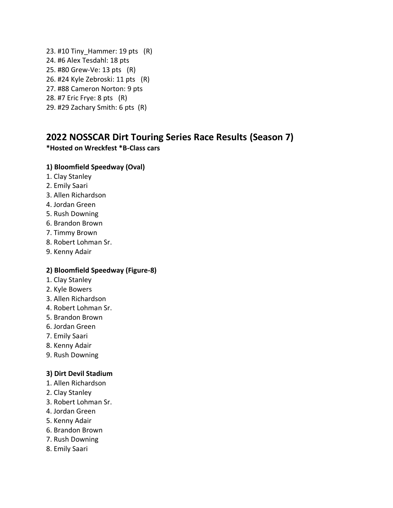23. #10 Tiny\_Hammer: 19 pts (R) 24. #6 Alex Tesdahl: 18 pts 25. #80 Grew-Ve: 13 pts (R) 26. #24 Kyle Zebroski: 11 pts (R) 27. #88 Cameron Norton: 9 pts 28. #7 Eric Frye: 8 pts (R)

# 29. #29 Zachary Smith: 6 pts (R)

# **2022 NOSSCAR Dirt Touring Series Race Results (Season 7)**

# **\*Hosted on Wreckfest \*B-Class cars**

# **1) Bloomfield Speedway (Oval)**

- 1. Clay Stanley
- 2. Emily Saari
- 3. Allen Richardson
- 4. Jordan Green
- 5. Rush Downing
- 6. Brandon Brown
- 7. Timmy Brown
- 8. Robert Lohman Sr.
- 9. Kenny Adair

# **2) Bloomfield Speedway (Figure-8)**

- 1. Clay Stanley
- 2. Kyle Bowers
- 3. Allen Richardson
- 4. Robert Lohman Sr.
- 5. Brandon Brown
- 6. Jordan Green
- 7. Emily Saari
- 8. Kenny Adair
- 9. Rush Downing

# **3) Dirt Devil Stadium**

- 1. Allen Richardson
- 2. Clay Stanley
- 3. Robert Lohman Sr.
- 4. Jordan Green
- 5. Kenny Adair
- 6. Brandon Brown
- 7. Rush Downing
- 8. Emily Saari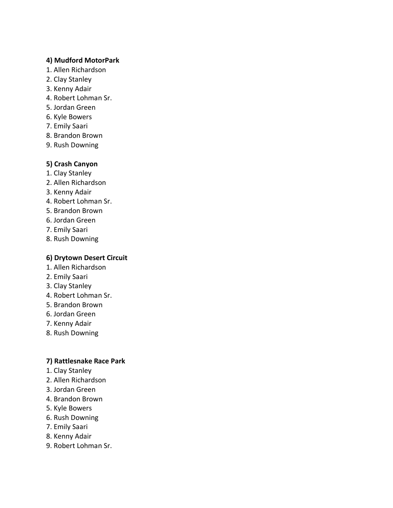# **4) Mudford MotorPark**

- 1. Allen Richardson
- 2. Clay Stanley
- 3. Kenny Adair
- 4. Robert Lohman Sr.
- 5. Jordan Green
- 6. Kyle Bowers
- 7. Emily Saari
- 8. Brandon Brown
- 9. Rush Downing

# **5) Crash Canyon**

- 1. Clay Stanley
- 2. Allen Richardson
- 3. Kenny Adair
- 4. Robert Lohman Sr.
- 5. Brandon Brown
- 6. Jordan Green
- 7. Emily Saari
- 8. Rush Downing

# **6) Drytown Desert Circuit**

- 1. Allen Richardson
- 2. Emily Saari
- 3. Clay Stanley
- 4. Robert Lohman Sr.
- 5. Brandon Brown
- 6. Jordan Green
- 7. Kenny Adair
- 8. Rush Downing

# **7) Rattlesnake Race Park**

- 1. Clay Stanley
- 2. Allen Richardson
- 3. Jordan Green
- 4. Brandon Brown
- 5. Kyle Bowers
- 6. Rush Downing
- 7. Emily Saari
- 8. Kenny Adair
- 9. Robert Lohman Sr.